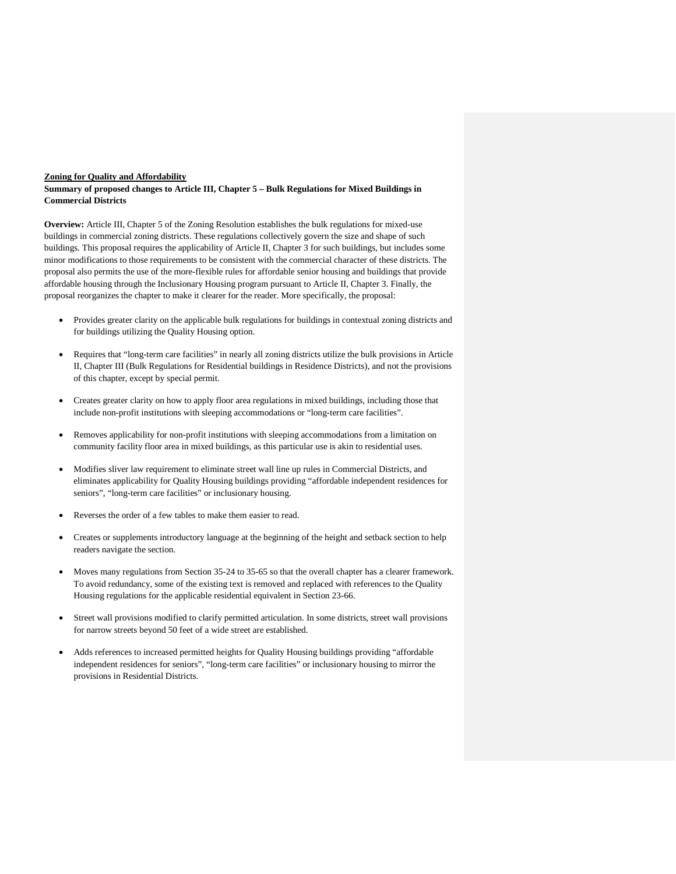#### **Zoning for Quality and Affordability**

#### **Summary of proposed changes to Article III, Chapter 5 – Bulk Regulations for Mixed Buildings in Commercial Districts**

**Overview:** Article III, Chapter 5 of the Zoning Resolution establishes the bulk regulations for mixed-use buildings in commercial zoning districts. These regulations collectively govern the size and shape of such buildings. This proposal requires the applicability of Article II, Chapter 3 for such buildings, but includes some minor modifications to those requirements to be consistent with the commercial character of these districts. The proposal also permits the use of the more-flexible rules for affordable senior housing and buildings that provide affordable housing through the Inclusionary Housing program pursuant to Article II, Chapter 3. Finally, the proposal reorganizes the chapter to make it clearer for the reader. More specifically, the proposal:

- Provides greater clarity on the applicable bulk regulations for buildings in contextual zoning districts and for buildings utilizing the Quality Housing option.
- Requires that "long-term care facilities" in nearly all zoning districts utilize the bulk provisions in Article II, Chapter III (Bulk Regulations for Residential buildings in Residence Districts), and not the provisions of this chapter, except by special permit.
- Creates greater clarity on how to apply floor area regulations in mixed buildings, including those that include non-profit institutions with sleeping accommodations or "long-term care facilities".
- Removes applicability for non-profit institutions with sleeping accommodations from a limitation on community facility floor area in mixed buildings, as this particular use is akin to residential uses.
- Modifies sliver law requirement to eliminate street wall line up rules in Commercial Districts, and eliminates applicability for Quality Housing buildings providing "affordable independent residences for seniors", "long-term care facilities" or inclusionary housing.
- Reverses the order of a few tables to make them easier to read.
- Creates or supplements introductory language at the beginning of the height and setback section to help readers navigate the section.
- Moves many regulations from Section 35-24 to 35-65 so that the overall chapter has a clearer framework. To avoid redundancy, some of the existing text is removed and replaced with references to the Quality Housing regulations for the applicable residential equivalent in Section 23-66.
- Street wall provisions modified to clarify permitted articulation. In some districts, street wall provisions for narrow streets beyond 50 feet of a wide street are established.
- Adds references to increased permitted heights for Quality Housing buildings providing "affordable" independent residences for seniors", "long-term care facilities" or inclusionary housing to mirror the provisions in Residential Districts.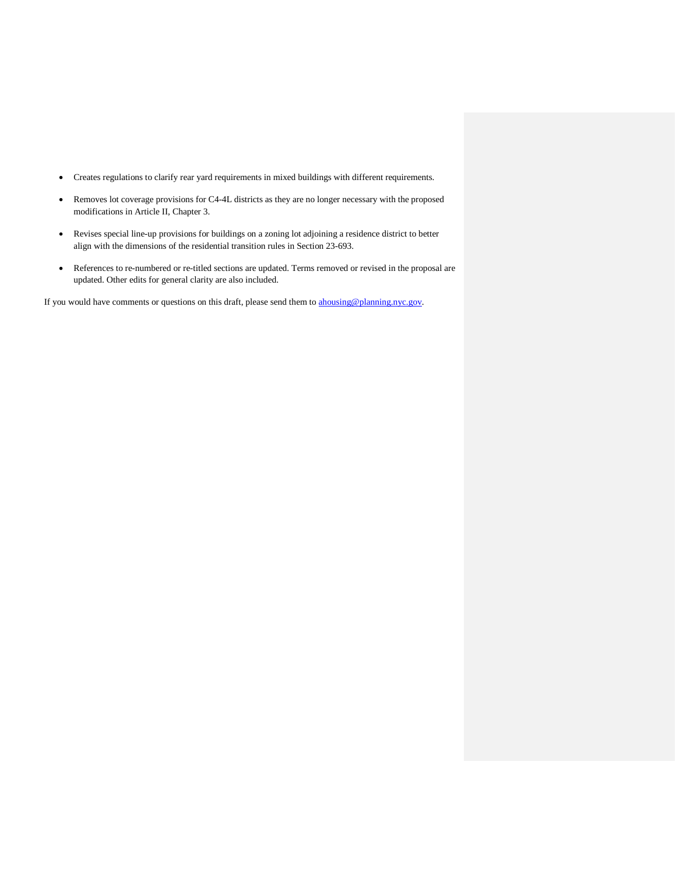- Creates regulations to clarify rear yard requirements in mixed buildings with different requirements.
- Removes lot coverage provisions for C4-4L districts as they are no longer necessary with the proposed modifications in Article II, Chapter 3.
- Revises special line-up provisions for buildings on a zoning lot adjoining a residence district to better align with the dimensions of the residential transition rules in Section 23-693.
- References to re-numbered or re-titled sections are updated. Terms removed or revised in the proposal are updated. Other edits for general clarity are also included.

If you would have comments or questions on this draft, please send them to [ahousing@planning.nyc.gov.](mailto:ahousing@planning.nyc.gov)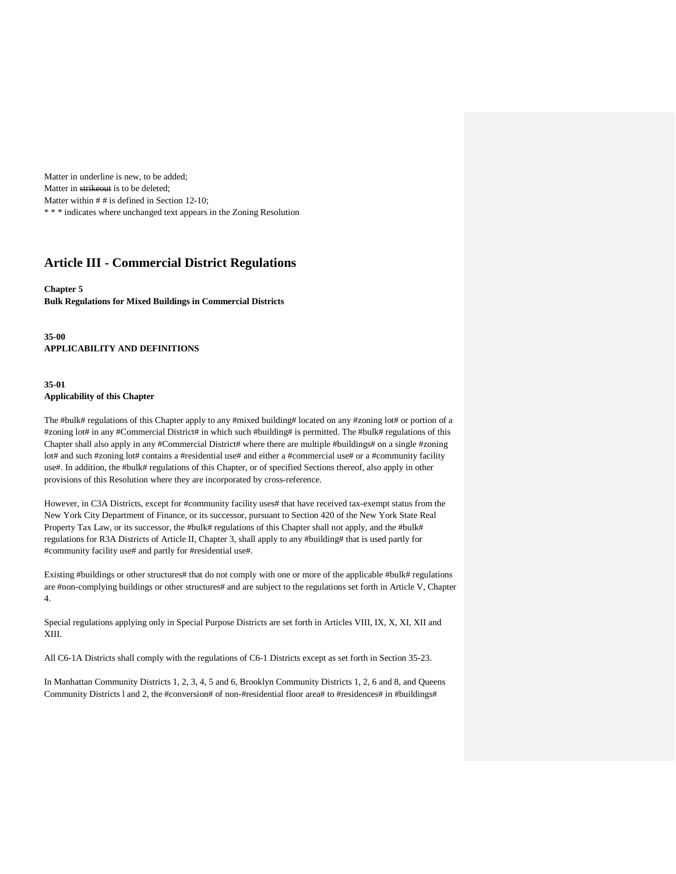Matter in underline is new, to be added; Matter in strikeout is to be deleted; Matter within  $# #$  is defined in Section 12-10; \* \* \* indicates where unchanged text appears in the Zoning Resolution

# **Article III - Commercial District Regulations**

### **Chapter 5 Bulk Regulations for Mixed Buildings in Commercial Districts**

**35-00 APPLICABILITY AND DEFINITIONS**

### **35-01 Applicability of this Chapter**

The #bulk# regulations of this Chapter apply to any #mixed building# located on any #zoning lot# or portion of a #zoning lot# in any #Commercial District# in which such #building# is permitted. The #bulk# regulations of this Chapter shall also apply in any #Commercial District# where there are multiple #buildings# on a single #zoning lot# and such #zoning lot# contains a #residential use# and either a #commercial use# or a #community facility use#. In addition, the #bulk# regulations of this Chapter, or of specified Sections thereof, also apply in other provisions of this Resolution where they are incorporated by cross-reference.

However, in C3A Districts, except for #community facility uses# that have received tax-exempt status from the New York City Department of Finance, or its successor, pursuant to Section 420 of the New York State Real Property Tax Law, or its successor, the #bulk# regulations of this Chapter shall not apply, and the #bulk# regulations for R3A Districts of Article II, Chapter 3, shall apply to any #building# that is used partly for #community facility use# and partly for #residential use#.

Existing #buildings or other structures# that do not comply with one or more of the applicable #bulk# regulations are #non-complying buildings or other structures# and are subject to the regulations set forth in Article V, Chapter 4.

Special regulations applying only in Special Purpose Districts are set forth in Articles VIII, IX, X, XI, XII and XIII.

All C6-1A Districts shall comply with the regulations of C6-1 Districts except as set forth in Section 35-23.

In Manhattan Community Districts 1, 2, 3, 4, 5 and 6, Brooklyn Community Districts 1, 2, 6 and 8, and Queens Community Districts 1 and 2, the #conversion# of non-#residential floor area# to #residences# in #buildings#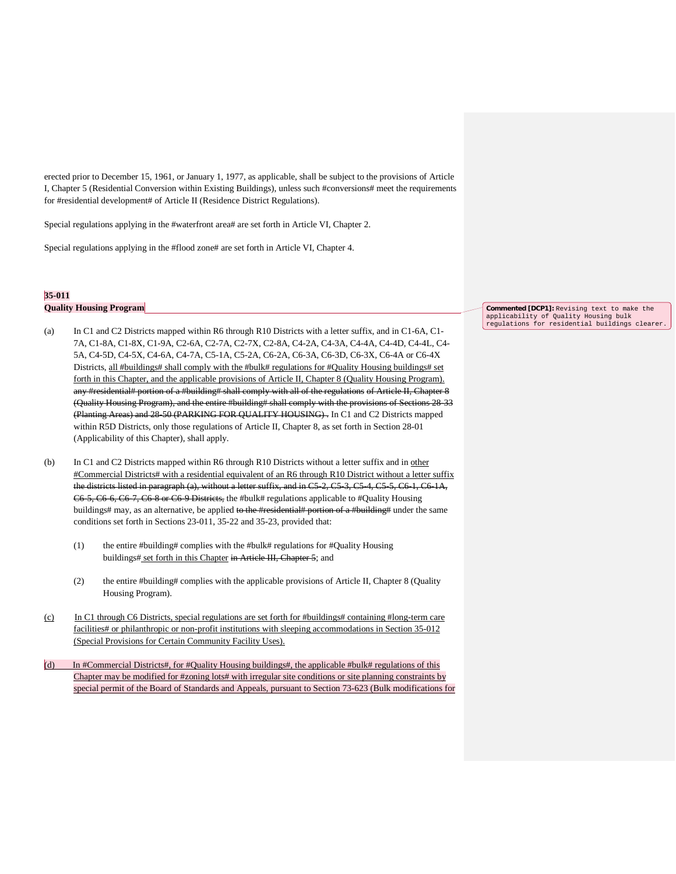erected prior to December 15, 1961, or January 1, 1977, as applicable, shall be subject to the provisions of Article I, Chapter 5 (Residential Conversion within Existing Buildings), unless such #conversions# meet the requirements for #residential development# of Article II (Residence District Regulations).

Special regulations applying in the #waterfront area# are set forth in Article VI, Chapter 2.

Special regulations applying in the #flood zone# are set forth in Article VI, Chapter 4.

## **35-011 Quality Housing Program**

- (a) In C1 and C2 Districts mapped within R6 through R10 Districts with a letter suffix, and in C1-6A, C1- 7A, C1-8A, C1-8X, C1-9A, C2-6A, C2-7A, C2-7X, C2-8A, C4-2A, C4-3A, C4-4A, C4-4D, C4-4L, C4- 5A, C4-5D, C4-5X, C4-6A, C4-7A, C5-1A, C5-2A, C6-2A, C6-3A, C6-3D, C6-3X, C6-4A or C6-4X Districts, all #buildings# shall comply with the #bulk# regulations for #Quality Housing buildings# set forth in this Chapter, and the applicable provisions of Article II, Chapter 8 (Quality Housing Program). any #residential# portion of a #building# shall comply with all of the regulations of Article II, Chapter 8 (Quality Housing Program), and the entire #building# shall comply with the provisions of Sections 28-33 (Planting Areas) and 28-50 (PARKING FOR QUALITY HOUSING) . In C1 and C2 Districts mapped within R5D Districts, only those regulations of Article II, Chapter 8, as set forth in Section 28-01 (Applicability of this Chapter), shall apply.
- (b) In C1 and C2 Districts mapped within R6 through R10 Districts without a letter suffix and in other #Commercial Districts# with a residential equivalent of an R6 through R10 District without a letter suffix the districts listed in paragraph (a), without a letter suffix, and in C5-2, C5-3, C5-4, C5-5, C6-1, C6-1A, C6-5, C6-6, C6-7, C6-8 or C6-9 Districts, the #bulk# regulations applicable to #Quality Housing buildings# may, as an alternative, be applied to the #residential# portion of a #building# under the same conditions set forth in Sections 23-011, 35-22 and 35-23, provided that:
	- (1) the entire #building# complies with the #bulk# regulations for #Quality Housing buildings# set forth in this Chapter in Article III, Chapter 5; and
	- (2) the entire #building# complies with the applicable provisions of Article II, Chapter 8 (Quality Housing Program).
- (c) In C1 through C6 Districts, special regulations are set forth for #buildings# containing #long-term care facilities# or philanthropic or non-profit institutions with sleeping accommodations in Section 35-012 (Special Provisions for Certain Community Facility Uses).
- (d) In #Commercial Districts#, for #Quality Housing buildings#, the applicable #bulk# regulations of this Chapter may be modified for #zoning lots# with irregular site conditions or site planning constraints by special permit of the Board of Standards and Appeals, pursuant to Section 73-623 (Bulk modifications for

**Commented [DCP1]:** Revising text to make the applicability of Quality Housing bulk regulations for residential buildings clearer.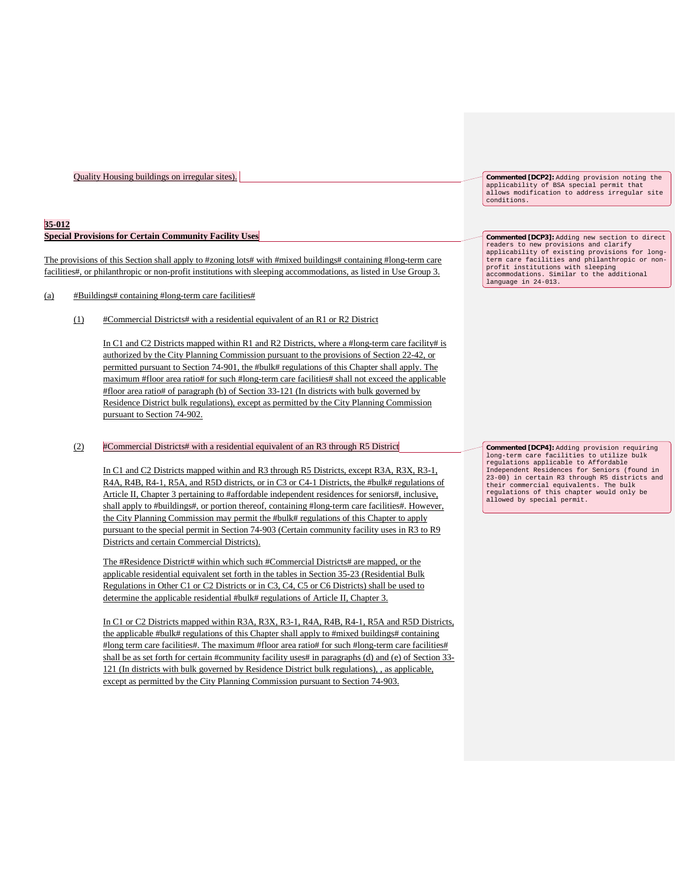#### **35-012**

### **Special Provisions for Certain Community Facility Uses**

The provisions of this Section shall apply to #zoning lots# with #mixed buildings# containing #long-term care facilities#, or philanthropic or non-profit institutions with sleeping accommodations, as listed in Use Group 3.

### (a) #Buildings# containing #long-term care facilities#

(1) #Commercial Districts# with a residential equivalent of an R1 or R2 District

In C1 and C2 Districts mapped within R1 and R2 Districts, where a #long-term care facility# is authorized by the City Planning Commission pursuant to the provisions of Section 22-42, or permitted pursuant to Section 74-901, the #bulk# regulations of this Chapter shall apply. The maximum #floor area ratio# for such #long-term care facilities# shall not exceed the applicable #floor area ratio# of paragraph (b) of Section 33-121 (In districts with bulk governed by Residence District bulk regulations), except as permitted by the City Planning Commission pursuant to Section 74-902.

#### (2) #Commercial Districts# with a residential equivalent of an R3 through R5 District

In C1 and C2 Districts mapped within and R3 through R5 Districts, except R3A, R3X, R3-1, R4A, R4B, R4-1, R5A, and R5D districts, or in C3 or C4-1 Districts, the #bulk# regulations of Article II, Chapter 3 pertaining to #affordable independent residences for seniors#, inclusive, shall apply to #buildings#, or portion thereof, containing #long-term care facilities#. However, the City Planning Commission may permit the #bulk# regulations of this Chapter to apply pursuant to the special permit in Section 74-903 (Certain community facility uses in R3 to R9 Districts and certain Commercial Districts).

The #Residence District# within which such #Commercial Districts# are mapped, or the applicable residential equivalent set forth in the tables in Section 35-23 (Residential Bulk Regulations in Other C1 or C2 Districts or in C3, C4, C5 or C6 Districts) shall be used to determine the applicable residential #bulk# regulations of Article II, Chapter 3.

In C1 or C2 Districts mapped within R3A, R3X, R3-1, R4A, R4B, R4-1, R5A and R5D Districts, the applicable #bulk# regulations of this Chapter shall apply to #mixed buildings# containing #long term care facilities#. The maximum #floor area ratio# for such #long-term care facilities# shall be as set forth for certain #community facility uses# in paragraphs (d) and (e) of Section 33- 121 (In districts with bulk governed by Residence District bulk regulations), , as applicable, except as permitted by the City Planning Commission pursuant to Section 74-903.

**Commented [DCP2]:** Adding provision noting the applicability of BSA special permit that allows modification to address irregular site conditions.

**Commented [DCP3]:** Adding new section to direct readers to new provisions and clarify applicability of existing provisions for long-term care facilities and philanthropic or nonprofit institutions with sleeping accommodations. Similar to the additional language in 24-013.

**Commented [DCP4]:** Adding provision requiring long-term care facilities to utilize bulk regulations applicable to Affordable Independent Residences for Seniors (found in 23-00) in certain R3 through R5 districts and their commercial equivalents. The bulk regulations of this chapter would only be allowed by special permit.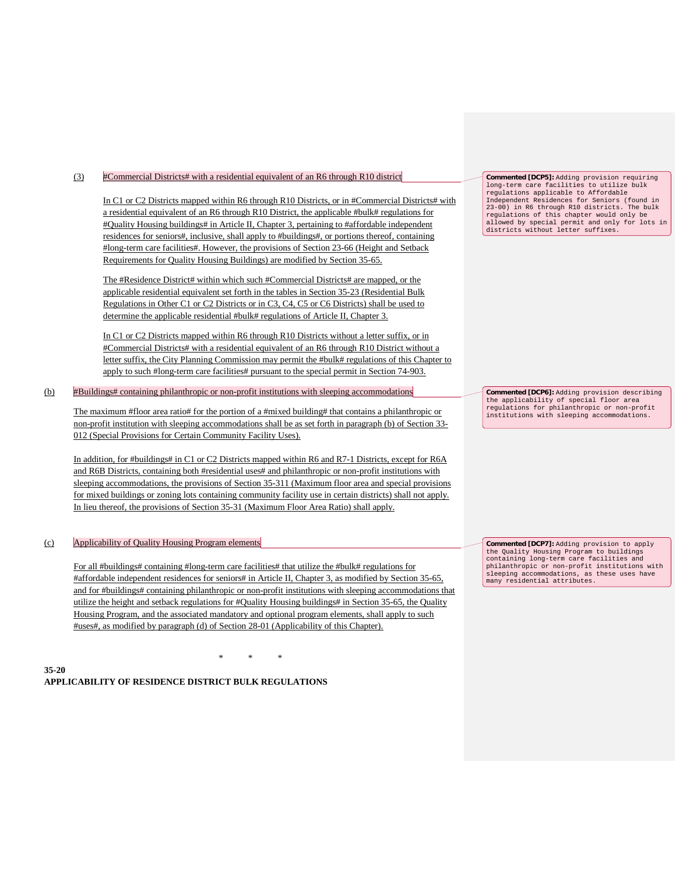### (3) #Commercial Districts# with a residential equivalent of an R6 through R10 district

In C1 or C2 Districts mapped within R6 through R10 Districts, or in #Commercial Districts# with a residential equivalent of an R6 through R10 District, the applicable #bulk# regulations for #Quality Housing buildings# in Article II, Chapter 3, pertaining to #affordable independent residences for seniors#, inclusive, shall apply to #buildings#, or portions thereof, containing #long-term care facilities#. However, the provisions of Section 23-66 (Height and Setback Requirements for Quality Housing Buildings) are modified by Section 35-65.

The #Residence District# within which such #Commercial Districts# are mapped, or the applicable residential equivalent set forth in the tables in Section 35-23 (Residential Bulk Regulations in Other C1 or C2 Districts or in C3, C4, C5 or C6 Districts) shall be used to determine the applicable residential #bulk# regulations of Article II, Chapter 3.

In C1 or C2 Districts mapped within R6 through R10 Districts without a letter suffix, or in #Commercial Districts# with a residential equivalent of an R6 through R10 District without a letter suffix, the City Planning Commission may permit the #bulk# regulations of this Chapter to apply to such #long-term care facilities# pursuant to the special permit in Section 74-903.

### (b) #Buildings# containing philanthropic or non-profit institutions with sleeping accommodations

The maximum #floor area ratio# for the portion of a #mixed building# that contains a philanthropic or non-profit institution with sleeping accommodations shall be as set forth in paragraph (b) of Section 33- 012 (Special Provisions for Certain Community Facility Uses).

In addition, for #buildings# in C1 or C2 Districts mapped within R6 and R7-1 Districts, except for R6A and R6B Districts, containing both #residential uses# and philanthropic or non-profit institutions with sleeping accommodations, the provisions of Section 35-311 (Maximum floor area and special provisions for mixed buildings or zoning lots containing community facility use in certain districts) shall not apply. In lieu thereof, the provisions of Section 35-31 (Maximum Floor Area Ratio) shall apply.

### (c) Applicability of Quality Housing Program elements

For all #buildings# containing #long-term care facilities# that utilize the #bulk# regulations for #affordable independent residences for seniors# in Article II, Chapter 3, as modified by Section 35-65, and for #buildings# containing philanthropic or non-profit institutions with sleeping accommodations that utilize the height and setback regulations for #Quality Housing buildings# in Section 35-65, the Quality Housing Program, and the associated mandatory and optional program elements, shall apply to such #uses#, as modified by paragraph (d) of Section 28-01 (Applicability of this Chapter).

\* \* \* **35-20 APPLICABILITY OF RESIDENCE DISTRICT BULK REGULATIONS** **Commented [DCP5]:** Adding provision requiring long-term care facilities to utilize bulk long-term care facilities to utilize bulk regulations applicable to Affordable Independent Residences for Seniors (found in 23-00) in R6 through R10 districts. The bulk regulations of this chapter would only be allowed by special permit and only for lots in districts without letter suffixes.

**Commented [DCP6]:** Adding provision describing the applicability of special floor area<br>requlations for philanthropic or non-pr regulations for philanthropic or non-profit institutions with sleeping accommodations.

**Commented [DCP7]:** Adding provision to apply the Quality Housing Program to buildings containing long-term care facilities and philanthropic or non-profit institutions with sleeping accommodations, as these uses have many residential attributes.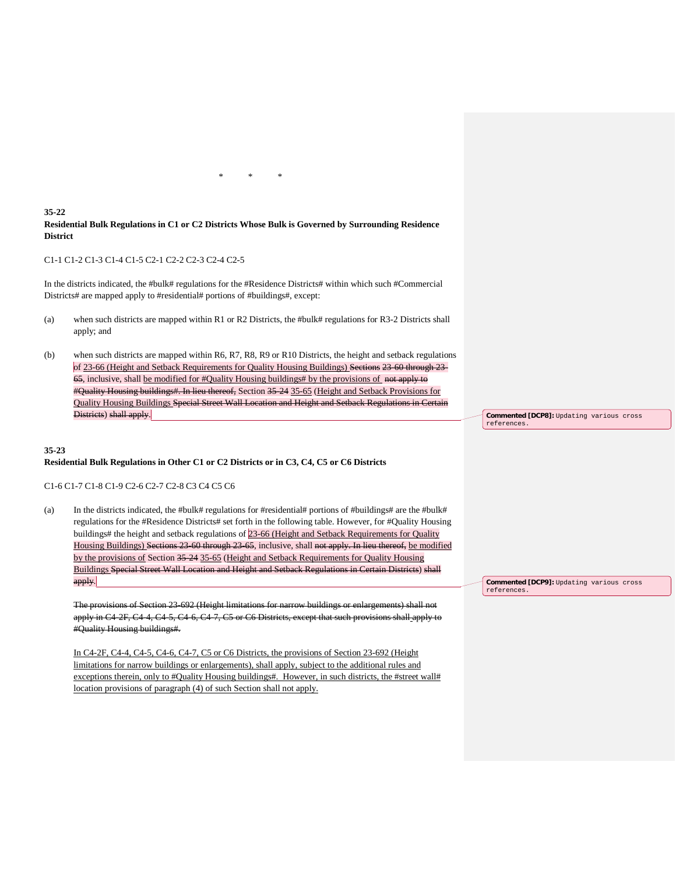**35-22 Residential Bulk Regulations in C1 or C2 Districts Whose Bulk is Governed by Surrounding Residence District**

\* \* \*

#### C1-1 C1-2 C1-3 C1-4 C1-5 C2-1 C2-2 C2-3 C2-4 C2-5

In the districts indicated, the #bulk# regulations for the #Residence Districts# within which such #Commercial Districts# are mapped apply to #residential# portions of #buildings#, except:

- (a) when such districts are mapped within R1 or R2 Districts, the #bulk# regulations for R3-2 Districts shall apply; and
- (b) when such districts are mapped within R6, R7, R8, R9 or R10 Districts, the height and setback regulations of 23-66 (Height and Setback Requirements for Quality Housing Buildings) Sections 23-60 through 23-65, inclusive, shall be modified for #Quality Housing buildings# by the provisions of not apply to #Quality Housing buildings#. In lieu thereof, Section 35-24 35-65 (Height and Setback Provisions for Quality Housing Buildings Special Street Wall Location and Height and Setback Regulations in Certain Districts) shall apply.

#### **35-23**

#### **Residential Bulk Regulations in Other C1 or C2 Districts or in C3, C4, C5 or C6 Districts**

#### C1-6 C1-7 C1-8 C1-9 C2-6 C2-7 C2-8 C3 C4 C5 C6

(a) In the districts indicated, the #bulk# regulations for #residential# portions of #buildings# are the #bulk# regulations for the #Residence Districts# set forth in the following table. However, for #Quality Housing buildings# the height and setback regulations of 23-66 (Height and Setback Requirements for Quality Housing Buildings) Sections 23-60 through 23-65, inclusive, shall not apply. In lieu thereof, be modified by the provisions of Section 35-24 35-65 (Height and Setback Requirements for Quality Housing Buildings Special Street Wall Location and Height and Setback Regulations in Certain Districts) shall apply.

The provisions of Section 23-692 (Height limitations for narrow buildings or enlargements) shall not apply in C4-2F, C4-4, C4-5, C4-6, C4-7, C5 or C6 Districts, except that such provisions shall apply to #Quality Housing buildings#.

In C4-2F, C4-4, C4-5, C4-6, C4-7, C5 or C6 Districts, the provisions of Section 23-692 (Height limitations for narrow buildings or enlargements), shall apply, subject to the additional rules and exceptions therein, only to #Quality Housing buildings#. However, in such districts, the #street wall# location provisions of paragraph (4) of such Section shall not apply.

**Commented [DCP8]:** Updating various cross references.

**Commented [DCP9]:** Updating various cross references.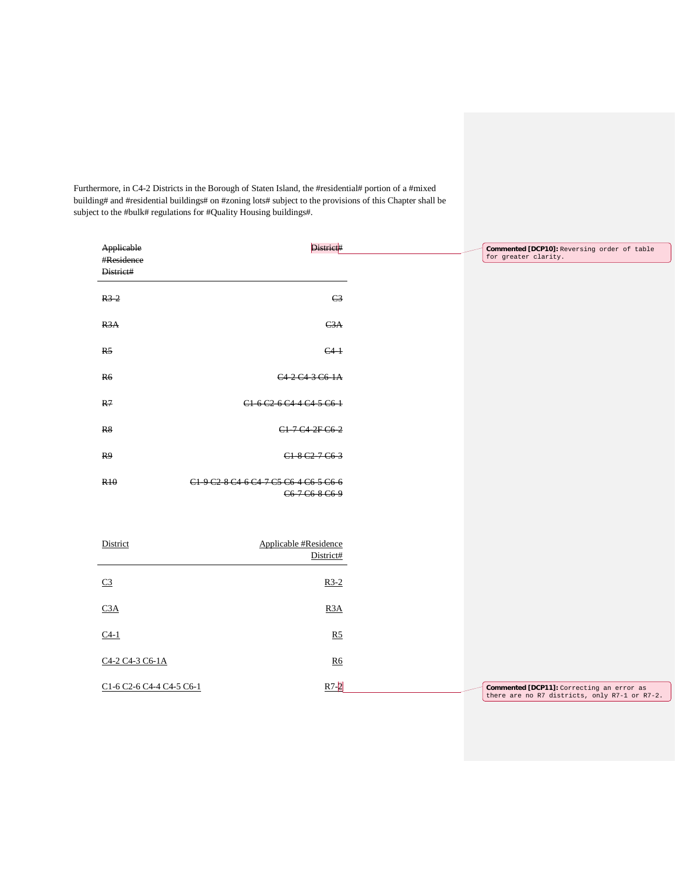Furthermore, in C4-2 Districts in the Borough of Staten Island, the #residential# portion of a #mixed building# and #residential buildings# on #zoning lots# subject to the provisions of this Chapter shall be subject to the #bulk# regulations for #Quality Housing buildings#.

| Applicable               | District#                                                                                                                             | Commented [DCP10]: Reversing order of table   |
|--------------------------|---------------------------------------------------------------------------------------------------------------------------------------|-----------------------------------------------|
| #Residence               |                                                                                                                                       | for greater clarity.                          |
| District#                |                                                                                                                                       |                                               |
|                          |                                                                                                                                       |                                               |
| $R3-2$                   | C <sub>3</sub>                                                                                                                        |                                               |
|                          |                                                                                                                                       |                                               |
| R3A                      | C3A                                                                                                                                   |                                               |
|                          |                                                                                                                                       |                                               |
| R <sub>5</sub>           | $C4-1$                                                                                                                                |                                               |
|                          |                                                                                                                                       |                                               |
|                          |                                                                                                                                       |                                               |
| R6                       | C <sub>4</sub> 2 C <sub>4</sub> 3 C <sub>6</sub> 1A                                                                                   |                                               |
|                          |                                                                                                                                       |                                               |
| R7                       | C <sub>1</sub> 6 C <sub>2</sub> 6 C <sub>4</sub> 4 C <sub>4</sub> 5 C <sub>6</sub> 1                                                  |                                               |
|                          |                                                                                                                                       |                                               |
| R8                       | C1-7-C4-2F-C6-2                                                                                                                       |                                               |
|                          |                                                                                                                                       |                                               |
| R9                       | C1 8 C2 7 C6 3                                                                                                                        |                                               |
|                          |                                                                                                                                       |                                               |
| <b>R<sub>10</sub></b>    | C <sub>1</sub> 9 C <sub>2</sub> 8 C <sub>4</sub> 6 C <sub>4</sub> 7 C <sub>5</sub> C <sub>6</sub> 4 C <sub>6</sub> 5 C <sub>6</sub> 6 |                                               |
|                          | C6 7 C6 8 C6 9                                                                                                                        |                                               |
|                          |                                                                                                                                       |                                               |
|                          |                                                                                                                                       |                                               |
|                          |                                                                                                                                       |                                               |
| District                 | Applicable #Residence                                                                                                                 |                                               |
|                          | District#                                                                                                                             |                                               |
|                          |                                                                                                                                       |                                               |
| C <sub>3</sub>           | $R3-2$                                                                                                                                |                                               |
|                          |                                                                                                                                       |                                               |
| C3A                      | R <sub>3</sub> A                                                                                                                      |                                               |
|                          |                                                                                                                                       |                                               |
|                          |                                                                                                                                       |                                               |
| $C4-1$                   | R5                                                                                                                                    |                                               |
|                          |                                                                                                                                       |                                               |
| C4-2 C4-3 C6-1A          | R6                                                                                                                                    |                                               |
|                          |                                                                                                                                       |                                               |
| C1-6 C2-6 C4-4 C4-5 C6-1 | $R7-2$                                                                                                                                | Commented [DCP11]: Correcting an error as     |
|                          |                                                                                                                                       | there are no R7 districts, only R7-1 or R7-2. |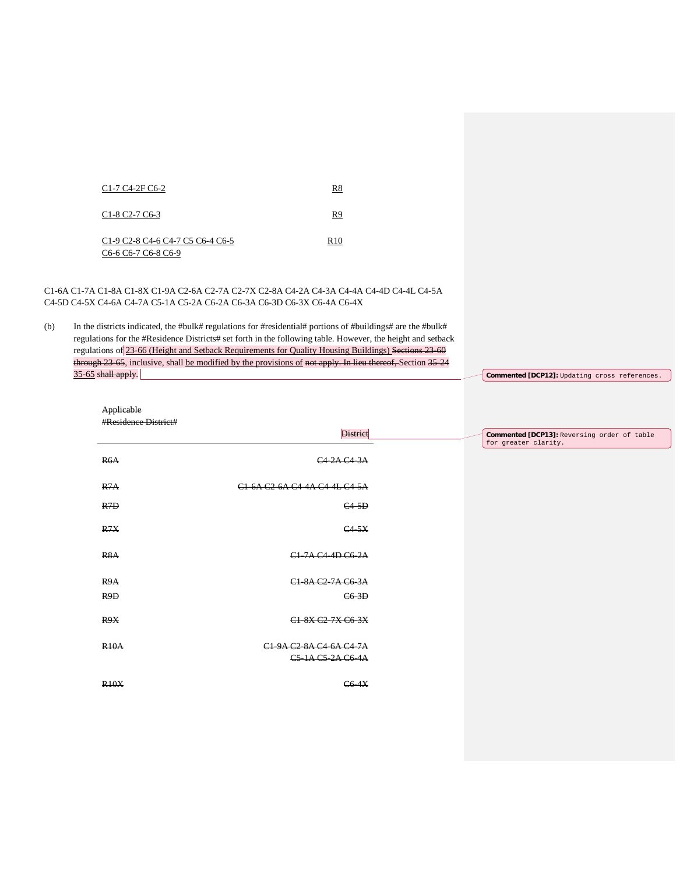| C <sub>1</sub> -7 C <sub>4</sub> -2F C <sub>6</sub> -2                                                                                                                                                | R8              |
|-------------------------------------------------------------------------------------------------------------------------------------------------------------------------------------------------------|-----------------|
| $C1-8 C2-7 C6-3$                                                                                                                                                                                      | R9              |
| C <sub>1</sub> -9 C <sub>2</sub> -8 C <sub>4</sub> -6 C <sub>4</sub> -7 C <sub>5</sub> C <sub>6</sub> -4 C <sub>6</sub> -5<br>C <sub>6</sub> -6 C <sub>6</sub> -7 C <sub>6</sub> -8 C <sub>6</sub> -9 | R <sub>10</sub> |

C1-6A C1-7A C1-8A C1-8X C1-9A C2-6A C2-7A C2-7X C2-8A C4-2A C4-3A C4-4A C4-4D C4-4L C4-5A C4-5D C4-5X C4-6A C4-7A C5-1A C5-2A C6-2A C6-3A C6-3D C6-3X C6-4A C6-4X

(b) In the districts indicated, the #bulk# regulations for #residential# portions of #buildings# are the #bulk# regulations for the #Residence Districts# set forth in the following table. However, the height and setback regulations of 23-66 (Height and Setback Requirements for Quality Housing Buildings) Sections 23-60 through 23-65, inclusive, shall be modified by the provisions of not apply. In lieu thereof, Section 35-24  $35-65$  shall apply.

| Applicable           |                                              |                                                                     |
|----------------------|----------------------------------------------|---------------------------------------------------------------------|
| #Residence District# |                                              |                                                                     |
|                      | <b>District</b>                              | Commented [DCP13]: Reversing order of table<br>for greater clarity. |
| R6A                  | C4 2A C4 3A                                  |                                                                     |
| R7A                  | C1 6A C2 6A C4 4A C4 4L C4 5A                |                                                                     |
| R <sub>7D</sub>      | $C4-5D$                                      |                                                                     |
| R7X                  | C4.5X                                        |                                                                     |
| R <sub>8</sub> A     | C1-7A C4-4D C6-2A                            |                                                                     |
| R9A                  | C1-8A C2-7A C6-3A                            |                                                                     |
| R <sub>9</sub> D     | $C6-3D$                                      |                                                                     |
| R9X                  | C1 8X C2 7X C6 3X                            |                                                                     |
| <b>R10A</b>          | C1 9A C2 8A C4 6A C4 7A<br>C5-1A C5-2A C6-4A |                                                                     |
| <b>R10X</b>          | <b>C6 4X</b>                                 |                                                                     |

**Commented [DCP12]:** Updating cross references.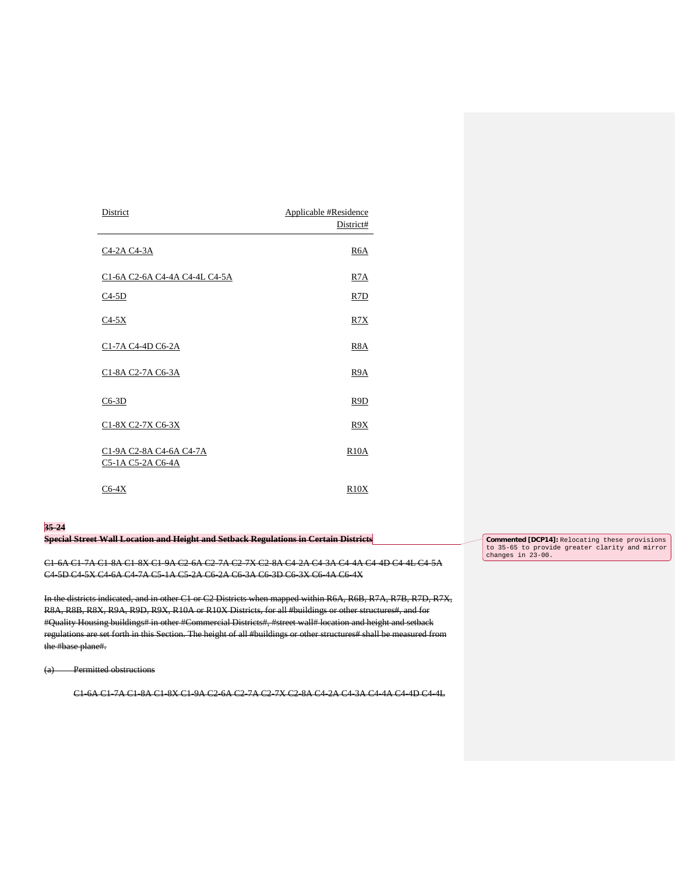| District                                     | Applicable #Residence<br>District# |
|----------------------------------------------|------------------------------------|
| <u>C4-2A C4-3A</u>                           | R <sub>6</sub> A                   |
| C1-6A C2-6A C4-4A C4-4L C4-5A                | R <sub>7</sub> A                   |
| $C4-5D$                                      | R <sub>7</sub> D                   |
| $C4-5X$                                      | R7X                                |
| C1-7A C4-4D C6-2A                            | R8A                                |
| C1-8A C2-7A C6-3A                            | R9A                                |
| $C6-3D$                                      | R9D                                |
| C1-8X C2-7X C6-3X                            | R9X                                |
| C1-9A C2-8A C4-6A C4-7A<br>C5-1A C5-2A C6-4A | <b>R10A</b>                        |
| $C6-4X$                                      | R10X                               |

#### **35-24**

**Special Street Wall Location and Height and Setback Regulations in Certain Districts**

C1-6A C1-7A C1-8A C1-8X C1-9A C2-6A C2-7A C2-7X C2-8A C4-2A C4-3A C4-4A C4-4D C4-4L C4-5A C4-5D C4-5X C4-6A C4-7A C5-1A C5-2A C6-2A C6-3A C6-3D C6-3X C6-4A C6-4X

In the districts indicated, and in other C1 or C2 Districts when mapped within R6A, R6B, R7A, R7B, R7D, R7X, R8A, R8B, R8X, R9A, R9D, R9X, R10A or R10X Districts, for all #buildings or other structures#, and for #Quality Housing buildings# in other #Commercial Districts#, #street wall# location and height and setback regulations are set forth in this Section. The height of all #buildings or other structures# shall be measured from the #base plane#.

(a) Permitted obstructions

C1-6A C1-7A C1-8A C1-8X C1-9A C2-6A C2-7A C2-7X C2-8A C4-2A C4-3A C4-4A C4-4D C4-4L

**Commented [DCP14]:** Relocating these provisions to 35-65 to provide greater clarity and mirror changes in 23-00.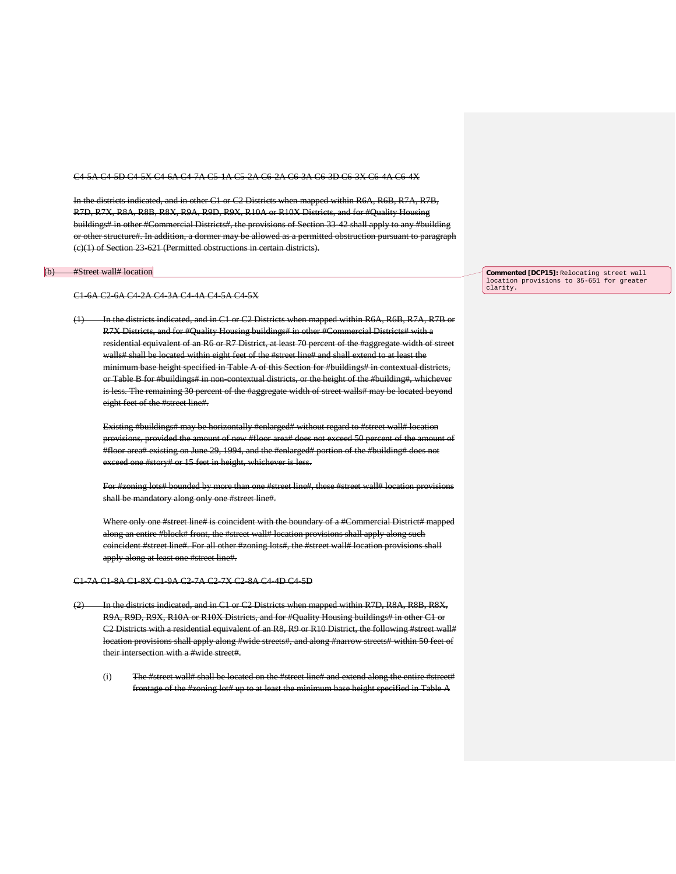#### C4-5A C4-5D C4-5X C4-6A C4-7A C5-1A C5-2A C6-2A C6-3A C6-3D C6-3X C6-4A C6-4X

In the districts indicated, and in other C1 or C2 Districts when mapped within R6A, R6B, R7A, R7B, R7D, R7X, R8A, R8B, R8X, R9A, R9D, R9X, R10A or R10X Districts, and for #Quality Housing buildings# in other #Commercial Districts#, the provisions of Section 33-42 shall apply to any #building or other structure#. In addition, a dormer may be allowed as a permitted obstruction pursuant to paragraph (c)(1) of Section 23-621 (Permitted obstructions in certain districts).

#### (b) #Street wall# location

#### C1-6A C2-6A C4-2A C4-3A C4-4A C4-5A C4-5X

(1) In the districts indicated, and in C1 or C2 Districts when mapped within R6A, R6B, R7A, R7B or R7X Districts, and for #Quality Housing buildings# in other #Commercial Districts# with a residential equivalent of an R6 or R7 District, at least 70 percent of the #aggregate width of street walls# shall be located within eight feet of the #street line# and shall extend to at least the minimum base height specified in Table A of this Section for #buildings# in contextual districts, or Table B for #buildings# in non-contextual districts, or the height of the #building#, whichever is less. The remaining 30 percent of the #aggregate width of street walls# may be located beyond eight feet of the #street line#.

Existing #buildings# may be horizontally #enlarged# without regard to #street wall# location provisions, provided the amount of new #floor area# does not exceed 50 percent of the amount of #floor area# existing on June 29, 1994, and the #enlarged# portion of the #building# does not exceed one #story# or 15 feet in height, whichever is less.

For #zoning lots# bounded by more than one #street line#, these #street wall# location provisions shall be mandatory along only one #street line#.

Where only one #street line# is coincident with the boundary of a #Commercial District# mapped along an entire #block# front, the #street wall# location provisions shall apply along such coincident #street line#. For all other #zoning lots#, the #street wall# location provisions shall apply along at least one #street line#.

#### C1-7A C1-8A C1-8X C1-9A C2-7A C2-7X C2-8A C4-4D C4-5D

- (2) In the districts indicated, and in C1 or C2 Districts when mapped within R7D, R8A, R8B, R8X, R9A, R9D, R9X, R10A or R10X Districts, and for #Quality Housing buildings# in other C1 or C2 Districts with a residential equivalent of an R8, R9 or R10 District, the following #street wall# location provisions shall apply along #wide streets#, and along #narrow streets# within 50 feet of their intersection with a #wide street#.
	- $(i)$  The #street wall# shall be located on the #street line# and extend along the entire #street# frontage of the #zoning lot# up to at least the minimum base height specified in Table A

**Commented [DCP15]:** Relocating street wall location provisions to 35-651 for greater clarity.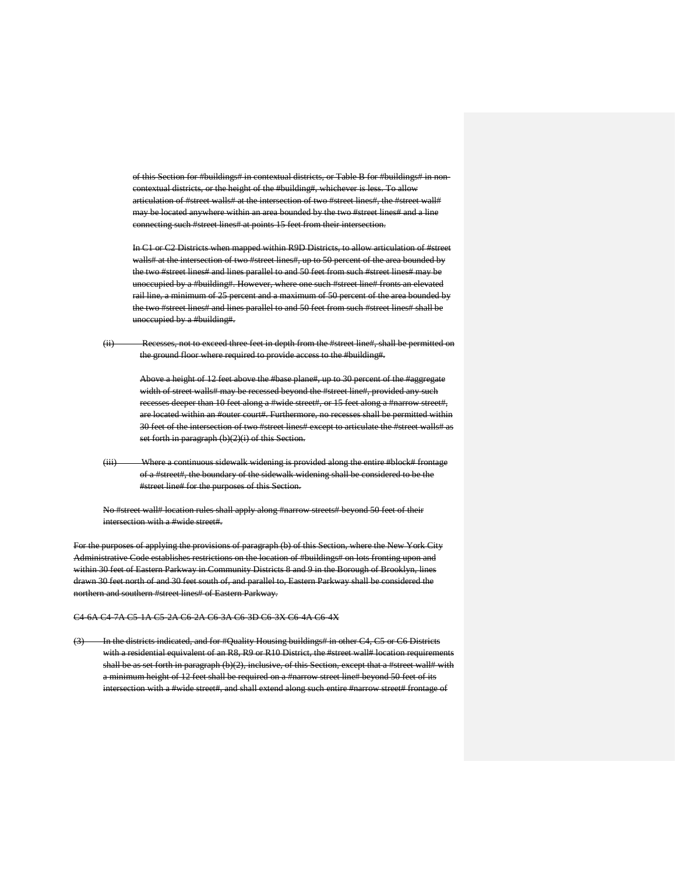of this Section for #buildings# in contextual districts, or Table B for #buildings# in al districts, or the height of the #building#, whichever is less. To allow articulation of #street walls# at the intersection of two #street lines#, the #street wall# may be located anywhere within an area bounded by the two #street lines# and a line connecting such #street lines# at points 15 feet from their intersection.

In C1 or C2 Districts when mapped within R9D Districts, to allow articulation of #street walls# at the intersection of two #street lines#, up to 50 percent of the area bounded by the two #street lines# and lines parallel to and 50 feet from such #street lines# may be unoccupied by a #building#. However, where one such #street line# fronts an elevated rail line, a minimum of 25 percent and a maximum of 50 percent of the area bounded by the two #street lines# and lines parallel to and 50 feet from such #street lines# shall be unoccupied by a #building#.

(ii) Recesses, not to exceed three feet in depth from the #street line#, shall be permitted on the ground floor where required to provide access to the #building#.

> Above a height of 12 feet above the #base plane#, up to 30 percent of the #aggregate width of street walls# may be recessed beyond the #street line#, provided any such recesses deeper than 10 feet along a #wide street#, or 15 feet along a #narrow street#, are located within an #outer court#. Furthermore, no recesses shall be permitted within 30 feet of the intersection of two #street lines# except to articulate the #street walls# as set forth in paragraph (b)(2)(i) of this Section.

(iii) Where a continuous sidewalk widening is provided along the entire #block# frontage of a #street#, the boundary of the sidewalk widening shall be considered to be the #street line# for the purposes of this Section.

No #street wall# location rules shall apply along #narrow streets# beyond 50 feet of their intersection with a #wide street#.

For the purposes of applying the provisions of paragraph (b) of this Section, where the New York City Administrative Code establishes restrictions on the location of #buildings# on lots fronting upon and within 30 feet of Eastern Parkway in Community Districts 8 and 9 in the Borough of Brooklyn, lines drawn 30 feet north of and 30 feet south of, and parallel to, Eastern Parkway shall be considered the northern and southern #street lines# of Eastern Parkway.

#### C4-6A C4-7A C5-1A C5-2A C6-2A C6-3A C6-3D C6-3X C6-4A C6-4X

(3) In the districts indicated, and for #Quality Housing buildings# in other C4, C5 or C6 Districts with a residential equivalent of an R8, R9 or R10 District, the #street wall# location requirements shall be as set forth in paragraph (b)(2), inclusive, of this Section, except that a #street wall# with a minimum height of 12 feet shall be required on a #narrow street line# beyond 50 feet of its intersection with a #wide street#, and shall extend along such entire #narrow street# frontage of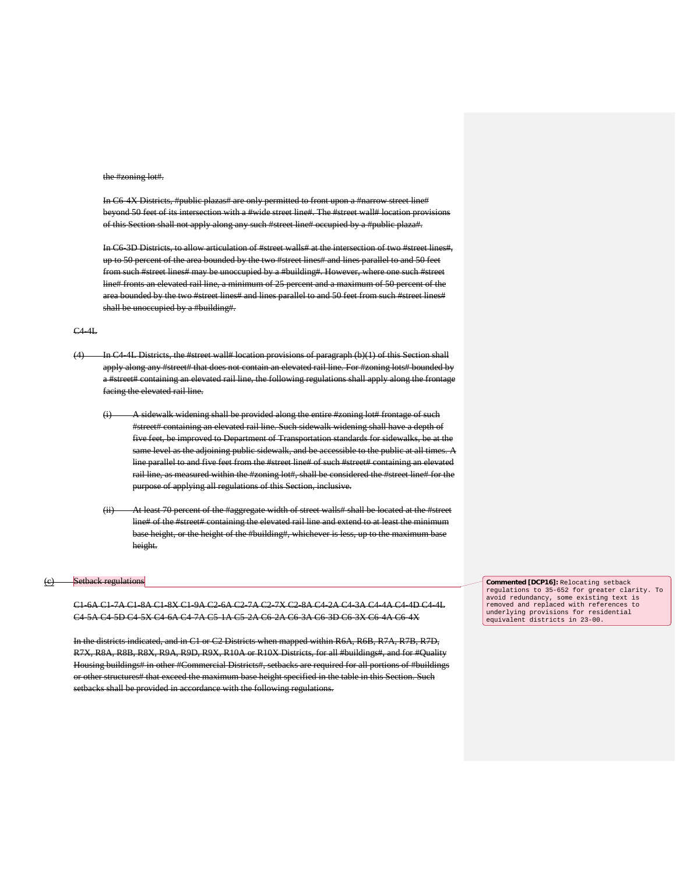### the #zoning lot#.

In C6-4X Districts, #public plazas# are only permitted to front upon a #narrow street line# beyond 50 feet of its intersection with a #wide street line#. The #street wall# location provisions of this Section shall not apply along any such #street line# occupied by a #public plaza#.

In C6-3D Districts, to allow articulation of #street walls# at the intersection of two #street lines#, up to 50 percent of the area bounded by the two #street lines# and lines parallel to and 50 feet from such #street lines# may be unoccupied by a #building#. However, where one such #street line# fronts an elevated rail line, a minimum of 25 percent and a maximum of 50 percent of the area bounded by the two #street lines# and lines parallel to and 50 feet from such #street lines# shall be unoccupied by a #building#.

#### C4-4L

- (4) In C4-4L Districts, the #street wall# location provisions of paragraph (b)(1) of this Section shall apply along any #street# that does not contain an elevated rail line. For #zoning lots# bounded by a #street# containing an elevated rail line, the following regulations shall apply along the frontage facing the elevated rail line.
	- (i) A sidewalk widening shall be provided along the entire #zoning lot# frontage of such #street# containing an elevated rail line. Such sidewalk widening shall have a depth of five feet, be improved to Department of Transportation standards for sidewalks, be at the same level as the adjoining public sidewalk, and be accessible to the public at all times. A line parallel to and five feet from the #street line# of such #street# containing an elevated rail line, as measured within the #zoning lot#, shall be considered the #street line# for the purpose of applying all regulations of this Section, inclusive.
	- (ii) At least 70 percent of the #aggregate width of street walls# shall be located at the #street line# of the #street# containing the elevated rail line and extend to at least the minimum base height, or the height of the #building#, whichever is less, up to the maximum base height.

### (c) Setback regulations

C1-6A C1-7A C1-8A C1-8X C1-9A C2-6A C2-7A C2-7X C2-8A C4-2A C4-3A C4-4A C4-4D C4-4L C4-5A C4-5D C4-5X C4-6A C4-7A C5-1A C5-2A C6-2A C6-3A C6-3D C6-3X C6-4A C6-4X

In the districts indicated, and in C1 or C2 Districts when mapped within R6A, R6B, R7A, R7B, R7D, R7X, R8A, R8B, R8X, R9A, R9D, R9X, R10A or R10X Districts, for all #buildings#, and for #Quality Housing buildings# in other #Commercial Districts#, setbacks are required for all portions of #buildings or other structures# that exceed the maximum base height specified in the table in this Section. Such setbacks shall be provided in accordance with the following regulations.

**Commented [DCP16]:** Relocating setback regulations to 35-652 for greater clarity. To avoid redundancy, some existing text is removed and replaced with references to underlying provisions for residential equivalent districts in 23-00.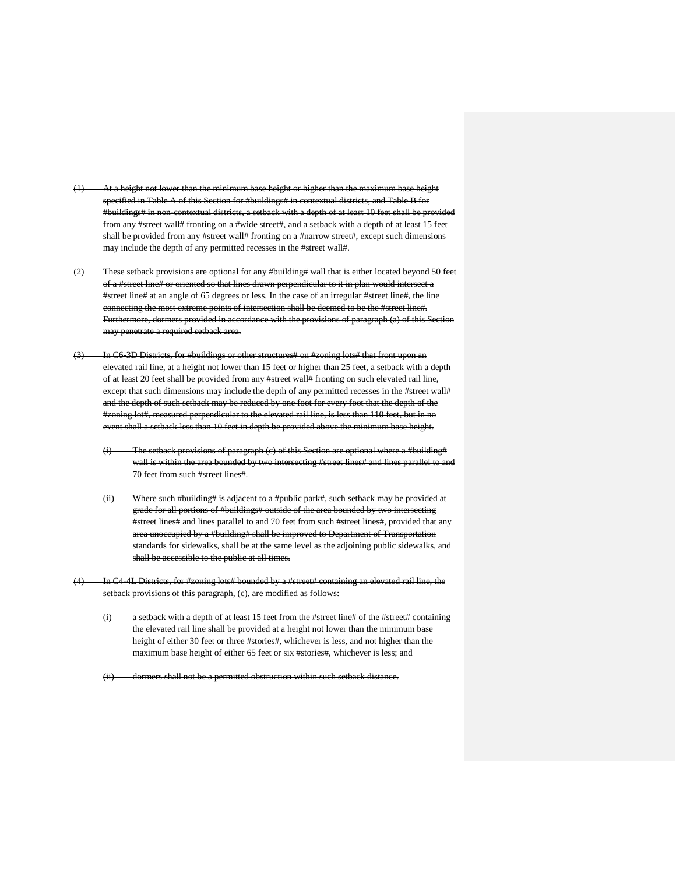- nimum base height or higher than the maximum base height specified in Table A of this Section for #buildings# in contextual districts, and Table B for #buildings# in non-contextual districts, a setback with a depth of at least 10 feet shall be provided from any #street wall# fronting on a #wide street#, and a setback with a depth of at least 15 feet shall be provided from any #street wall# fronting on a #narrow street#, except such dimensions may include the depth of any permitted recesses in the #street wall#.
- (2) These setback provisions are optional for any #building# wall that is either located beyond 50 feet of a #street line# or oriented so that lines drawn perpendicular to it in plan would intersect a #street line# at an angle of 65 degrees or less. In the case of an irregular #street line#, the line connecting the most extreme points of intersection shall be deemed to be the #street line#. Furthermore, dormers provided in accordance with the provisions of paragraph (a) of this Section may penetrate a required setback area.
- (3) In C6-3D Districts, for #buildings or other structures# on #zoning lots# that front upon an elevated rail line, at a height not lower than 15 feet or higher than 25 feet, a setback with a depth of at least 20 feet shall be provided from any #street wall# fronting on such elevated rail line, except that such dimensions may include the depth of any permitted recesses in the #street wall# and the depth of such setback may be reduced by one foot for every foot that the depth of the #zoning lot#, measured perpendicular to the elevated rail line, is less than 110 feet, but in no event shall a setback less than 10 feet in depth be provided above the minimum base height.
	- (i) The setback provisions of paragraph (c) of this Section are optional where a #building# wall is within the area bounded by two intersecting #street lines# and lines parallel to and 70 feet from such #street lines#.
	- (ii) Where such #building# is adjacent to a #public park#, such setback may be provided at grade for all portions of #buildings# outside of the area bounded by two intersecting #street lines# and lines parallel to and 70 feet from such #street lines#, provided that any area unoccupied by a #building# shall be improved to Department of Transportation standards for sidewalks, shall be at the same level as the adjoining public sidewalks, and shall be accessible to the public at all times.
- In C4-4L Districts, for #zoning lots# bounded by a #street# containing an elevated rail line, the setback provisions of this paragraph, (c), are modified as follows:
	- $(i)$  a setback with a depth of at least 15 feet from the #street line# of the #street# containing the elevated rail line shall be provided at a height not lower than the minimum base height of either 30 feet or three #stories#, whichever is less, and not higher than the maximum base height of either 65 feet or six #stories#, whichever is less; and

(ii) dormers shall not be a permitted obstruction within such setback distance.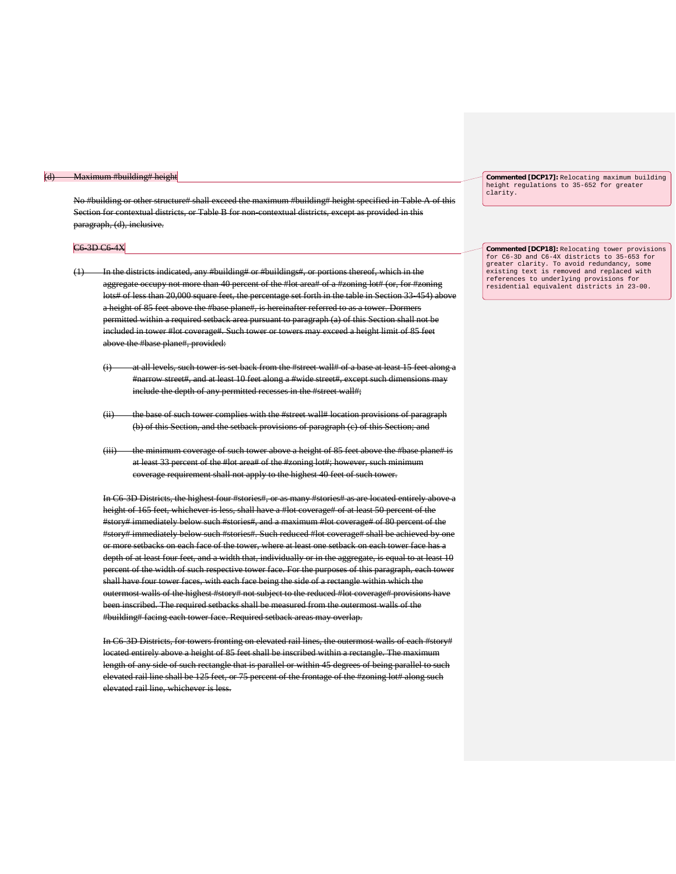#### lding# height

No #building or other structure# shall exceed the maximum #building# height specified in Table A of this Section for contextual districts, or Table B for non-contextual districts, except as provided in this paragraph, (d), inclusive.

#### C6-3D C6-4X

- (1) In the districts indicated, any #building# or #buildings#, or portions thereof, which in the aggregate occupy not more than 40 percent of the #lot area# of a #zoning lot# (or, for #zoning lots# of less than 20,000 square feet, the percentage set forth in the table in Section 33-454) above a height of 85 feet above the #base plane#, is hereinafter referred to as a tower. Dormers permitted within a required setback area pursuant to paragraph (a) of this Section shall not be included in tower #lot coverage#. Such tower or towers may exceed a height limit of 85 feet above the #base plane#, provided:
	- (i) at all levels, such tower is set back from the #street wall# of a base at least 15 feet along a #narrow street#, and at least 10 feet along a #wide street#, except such dimensions may include the depth of any permitted recesses in the #street wall#:
	- (ii) the base of such tower complies with the #street wall# location provisions of paragraph (b) of this Section, and the setback provisions of paragraph (c) of this Section; and
	- (iii) the minimum coverage of such tower above a height of 85 feet above the #base plane# is at least 33 percent of the #lot area# of the #zoning lot#; however, such minimum coverage requirement shall not apply to the highest 40 feet of such tower.

In C6-3D Districts, the highest four #stories#, or as many #stories# as are located entirely above a height of 165 feet, whichever is less, shall have a #lot coverage# of at least 50 percent of the #story# immediately below such #stories#, and a maximum #lot coverage# of 80 percent of the #story# immediately below such #stories#. Such reduced #lot coverage# shall be achieved by one or more setbacks on each face of the tower, where at least one setback on each tower face has a depth of at least four feet, and a width that, individually or in the aggregate, is equal to at least 10 percent of the width of such respective tower face. For the purposes of this paragraph, each to shall have four tower faces, with each face being the side of a rectangle within which the outermost walls of the highest #story# not subject to the reduced #lot coverage# provisions have been inscribed. The required setbacks shall be measured from the outermost walls of the #building# facing each tower face. Required setback areas may overlap.

In C6-3D Districts, for towers fronting on elevated rail lines, the outermost walls of each #story# located entirely above a height of 85 feet shall be inscribed within a rectangle. The maximum length of any side of such rectangle that is parallel or within 45 degrees of being parallel to such elevated rail line shall be 125 feet, or 75 percent of the frontage of the #zoning lot# along such elevated rail line, whichever is less.

**Commented [DCP17]:** Relocating maximum building height regulations to 35-652 for greater clarity.

**Commented [DCP18]:** Relocating tower provisions for C6-3D and C6-4X districts to 35-653 for greater clarity. To avoid redundancy, some existing text is removed and replaced with references to underlying provisions for residential equivalent districts in 23-00.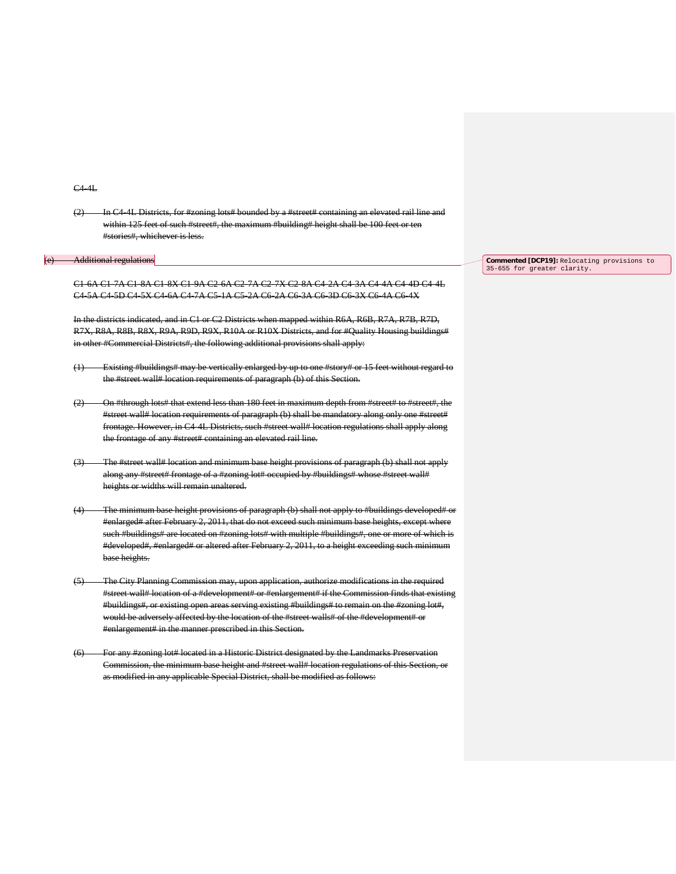#### C4-4L

(2) In C4-4L Districts, for #zoning lots# bounded by a #street# containing an elevated rail line and within 125 feet of such #street#, the maximum #building# height shall be 100 feet or ten #stories#, whichever is less.

#### (e) Additional regulations

C1-6A C1-7A C1-8A C1-8X C1-9A C2-6A C2-7A C2-7X C2-8A C4-2A C4-3A C4-4A C4-4D C4-4L C4-5A C4-5D C4-5X C4-6A C4-7A C5-1A C5-2A C6-2A C6-3A C6-3D C6-3X C6-4A C6-4X

In the districts indicated, and in C1 or C2 Districts when mapped within R6A, R6B, R7A, R7B, R7D, R7X, R8A, R8B, R8X, R9A, R9D, R9X, R10A or R10X Districts, and for #Quality Housing buildings# in other #Commercial Districts#, the following additional provisions shall apply:

- (1) Existing #buildings# may be vertically enlarged by up to one #story# or 15 feet without regard to the #street wall# location requirements of paragraph (b) of this Section.
- (2) On #through lots# that extend less than 180 feet in maximum depth from #street# to #street#, the #street wall# location requirements of paragraph (b) shall be mandatory along only one #street# frontage. However, in C4-4L Districts, such #street wall# location regulations shall apply along the frontage of any #street# containing an elevated rail line.
- (3) The #street wall# location and minimum base height provisions of paragraph (b) shall not apply along any #street# frontage of a #zoning lot# occupied by #buildings# whose #street wall# heights or widths will remain unaltered.
- (4) The minimum base height provisions of paragraph (b) shall not apply to #buildings developed# or #enlarged# after February 2, 2011, that do not exceed such minimum base heights, except where such #buildings# are located on #zoning lots# with multiple #buildings#, one or more of which is #developed#, #enlarged# or altered after February 2, 2011, to a height exceeding such minimum base heights.
- (5) The City Planning Commission may, upon application, authorize modifications in the required #street wall# location of a #development# or #enlargement# if the Commission finds that existing #buildings#, or existing open areas serving existing #buildings# to remain on the #zoning lot#, would be adversely affected by the location of the #street walls# of the #development# or #enlargement# in the manner prescribed in this Section.
- (6) For any #zoning lot# located in a Historic District designated by the Landmarks Preservation Commission, the minimum base height and #street wall# location regulations of this Section as modified in any applicable Special District, shall be modified as follows:

**Commented [DCP19]:** Relocating provisions to 35-655 for greater clarity.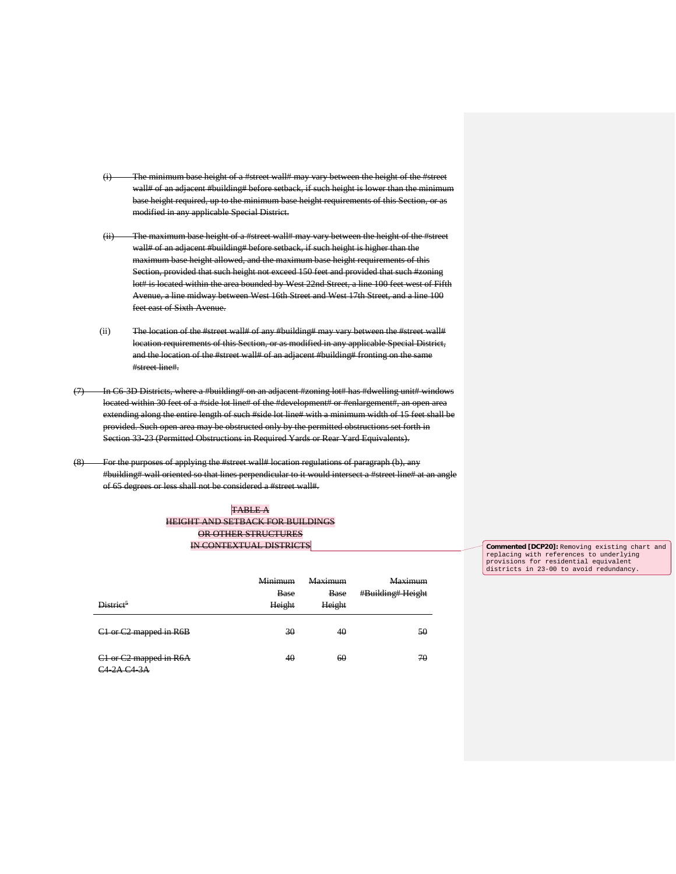- of a #street wall# may vary between the height wall# of an adjacent #building# before setback, if such height is lower th base height required, up to the minimum base height requirements of this Section, or as modified in any applicable Special District.
- (ii) The maximum base height of a #street wall# may vary between the height of the #street wall# of an adjacent #building# before setback, if such height is higher than the maximum base height allowed, and the maximum base height requirements of this Section, provided that such height not exceed 150 feet and provided that such #zoning lot# is located within the area bounded by West 22nd Street, a line 100 feet west of Fifth Avenue, a line midway between West 16th Street and West 17th Street, and a line 100 feet east of Sixth Avenue.
- (ii) The location of the #street wall# of any #building# may vary between the #street wall# location requirements of this Section, or as modified in any applicable Special District, and the location of the #street wall# of an adjacent #building# fronting on the same #street line#.
- (7) In C6-3D Districts, where a #building# on an adjacent #zoning lot# has #dwelling unit# windows located within 30 feet of a #side lot line# of the #development# or #enlargement#, an open area extending along the entire length of such #side lot line# with a minimum width of 15 feet shall be provided. Such open area may be obstructed only by the permitted obstructions set forth in Section 33-23 (Permitted Obstructions in Required Yards or Rear Yard Equivalents).
- (8) For the purposes of applying the #street wall# location regulations of paragraph (b), any #building# wall oriented so that lines perpendicular to it would intersect a #street line# at an angle of 65 degrees or less shall not be considered a #street wall#.

### TABLE A HEIGHT AND SETBACK FOR BUILDINGS OR OTHER STRUCTURES IN CONTEXTUAL DISTRICTS

| District <sup>5</sup>                                                 | Minimum<br><b>Base</b><br>Height | <b>Maximum</b><br><b>Base</b><br>Height | <b>Maximum</b><br>#Building# Height |
|-----------------------------------------------------------------------|----------------------------------|-----------------------------------------|-------------------------------------|
| C1 or C2 mapped in R6B                                                | 30                               | 40                                      | 50                                  |
| C1 or C2 mapped in R6A<br>$2\Lambda$ $C_A$ $3\Lambda$<br>$211C + 311$ | 40                               | 60                                      | 70                                  |

**Commented [DCP20]:** Removing existing chart and replacing with references to underlying provisions for residential equivalent<br>districts in 23-00 to avoid redundancy.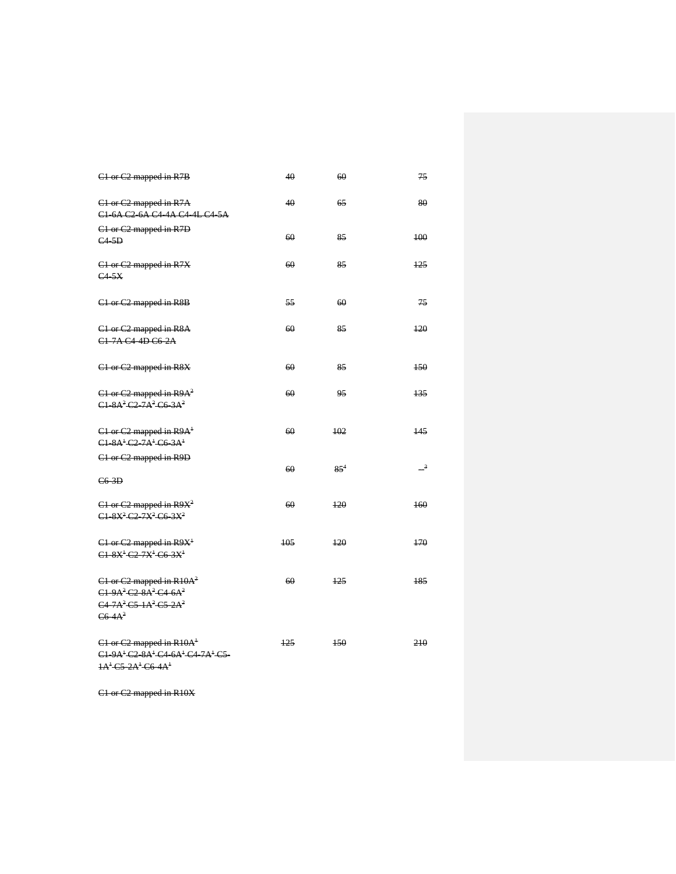| C1 or C2 mapped in R7B                                                                                                                            | 40  | 60       | 75                         |
|---------------------------------------------------------------------------------------------------------------------------------------------------|-----|----------|----------------------------|
| C1 or C2 mapped in R7A<br>C <sub>1</sub> 6A C <sub>2</sub> 6A C <sub>4</sub> 4A C <sub>4</sub> 4L C <sub>4</sub> 5A                               | 40  | 65       | 80                         |
| C1 or C2 mapped in R7D<br>$C4-5D$                                                                                                                 | 60  | 85       | 100                        |
| C1 or C2 mapped in R7X<br>C4.5X                                                                                                                   | 60  | 85       | 125                        |
| C1 or C2 mapped in R8B                                                                                                                            | 55  | 60       | 75                         |
| C1 or C2 mapped in R8A<br>C <sub>1</sub> 7A C <sub>4</sub> 4D C <sub>6</sub> 2A                                                                   | 60  | 85       | 120                        |
| C1 or C2 mapped in R8X                                                                                                                            | 60  | 85       | 150                        |
| $C1$ or $C2$ mapped in $R9A2$<br>$C1.8A^2C2.7A^2C6.3A^2$                                                                                          | 60  | 95       | 135                        |
| $C1$ or $C2$ mapped in $R9A+$<br>C1 8A <sup>+</sup> C2 7A <sup>+</sup> C6 3A <sup>+</sup>                                                         | 60  | 102      | 145                        |
| C1 or C2 mapped in R9D<br>$C6-3D$                                                                                                                 | 60  | $85^{4}$ | $\overline{\phantom{0}}^3$ |
| $C1$ or $C2$ mapped in $R9X^2$<br>C1 8X <sup>2</sup> C2 7X <sup>2</sup> C6 3X <sup>2</sup>                                                        | 60  | 120      | 160                        |
| $C1$ or $C2$ mapped in $R9X+$<br>$C1.8X^{+}C2.7X^{+}C6.3X^{+}$                                                                                    | 105 | 120      | 170                        |
| $C1$ or $C2$ mapped in R10A <sup>2</sup><br>$C1.9A2C2.8A2C4.6A2$<br>$C4.7A2 C5.1A2 C5.2A2$<br>C6.4A <sup>2</sup>                                  | 60  | 125      | 185                        |
| C1 or C2 mapped in R10A <sup>+</sup><br>C1 9A <sup>+</sup> C2 8A <sup>+</sup> C4 6A <sup>+</sup> C4 7A <sup>+</sup> C5<br>$1A1$ C5 $2A1$ C6 $4A1$ | 125 | 150      | 210                        |

C1 or C2 mapped in R10X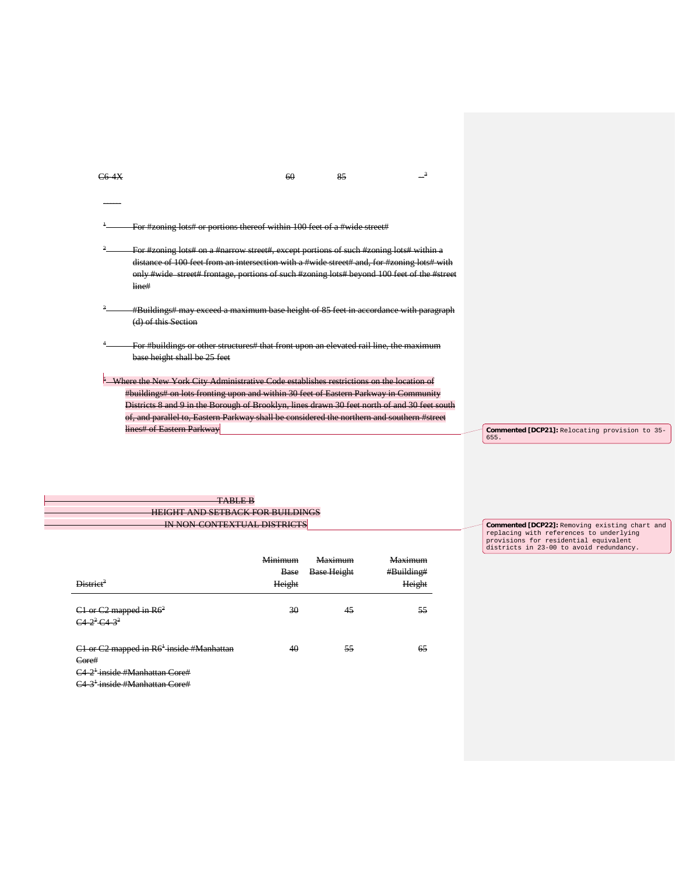$\frac{1}{60}$   $\frac{85}{3}$   $\frac{3}{4}$ 

------

<sup>1</sup> For #zoning lots# or portions thereof within 100 feet of a #wide street#

- For #zoning lots# on a #narrow street#, except portions of such #zoning lots# within a distance of 100 feet from an intersection with a #wide street# and, for #zoning lots# with only #wide street# frontage, portions of such #zoning lots# beyond 100 feet of the #street line#
- #Buildings# may exceed a maximum base height of 85 feet in accordance with paragraph (d) of this Section
- 4 For #buildings or other structures# that front upon an elevated rail line, the maximum base height shall be 25 feet
- **5** Where the New York City Administrative Code establishes restrictions on the location of #buildings# on lots fronting upon and within 30 feet of Eastern Parkway in Community Districts 8 and 9 in the Borough of Brooklyn, lines drawn 30 feet north of and 30 feet south of, and parallel to, Eastern Parkway shall be considered the northern and southern #street lines# of Eastern Parkway

**Commented [DCP21]:** Relocating provision to 35- 655.

| 17WULLD                                                                       |
|-------------------------------------------------------------------------------|
| HEIGHT AND SETRACK EOP RUILDIN<br><del>HERSHI ARD SETBACK POR BUILDINGS</del> |
| IN CONTEVTHAL DICTDIC<br><del>IN NON-CONTEXTO/10 DISTRICTS</del>              |
|                                                                               |

| District <sup>3</sup>                                                                                                | <b>Minimum</b><br>Base<br>Height | Maximum<br><b>Base Height</b> | <b>Maximum</b><br>#Building#<br>Height |
|----------------------------------------------------------------------------------------------------------------------|----------------------------------|-------------------------------|----------------------------------------|
| $C1$ or $C2$ mapped in $R62$<br>$C4-2^2C4-3^2$                                                                       | 30                               | 45                            | 55                                     |
| C1 or C2 mapped in R6 <sup>1</sup> inside #Manhattan<br>Core#<br><del>C4-2<sup>1</sup> inside #Manhattan Core#</del> | 40                               | 55                            | 65                                     |

**Commented [DCP22]:** Removing existing chart and replacing with references to underlying provisions for residential equivalent districts in 23-00 to avoid redundancy.

C4-3<sup>+</sup>-inside #Manhattan Core#

H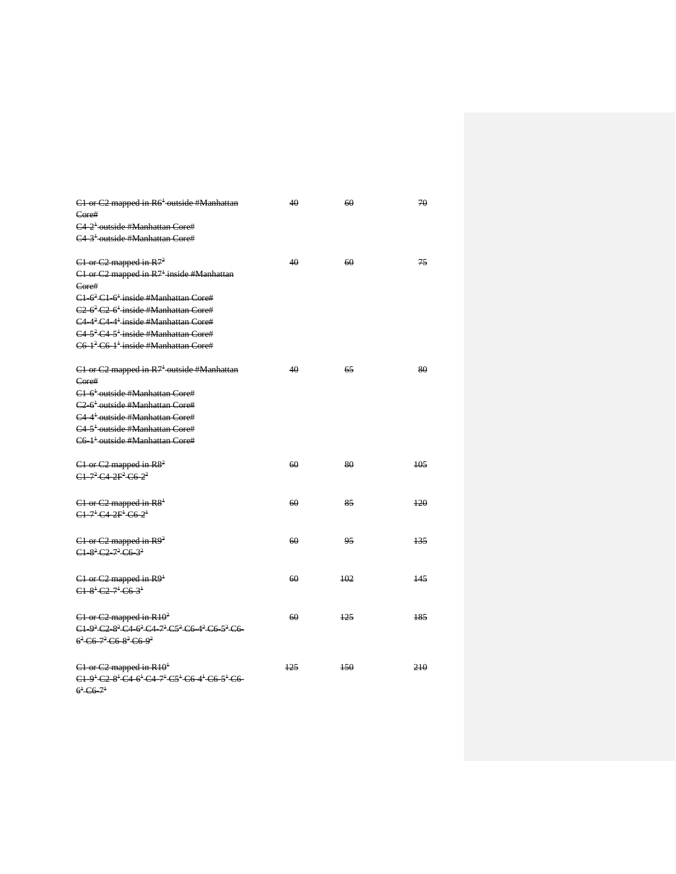| C1 or C2 mapped in R6 <sup>+</sup> outside #Manhattan                                                                                          | 40  | 60  | 70  |
|------------------------------------------------------------------------------------------------------------------------------------------------|-----|-----|-----|
| Core#                                                                                                                                          |     |     |     |
| C4 <sup>2<sup>+</sup> outside #Manhattan Core#</sup>                                                                                           |     |     |     |
| C4 3 <sup>+</sup> -outside #Manhattan Core#                                                                                                    |     |     |     |
|                                                                                                                                                |     |     |     |
| $C1$ or $C2$ mapped in $R72$                                                                                                                   | 40  | 60  | 75  |
| $C1$ or $C2$ mapped in $R7^{\frac{1}{2}}$ inside #Manhattan                                                                                    |     |     |     |
| Core#                                                                                                                                          |     |     |     |
| C1 6 <sup>2</sup> C1 6 <sup>+</sup> inside #Manhattan Core#                                                                                    |     |     |     |
| $C2.6^2 C2.6^1$ inside #Manhattan Core#                                                                                                        |     |     |     |
| $C4.4^2 C4.4^1$ inside #Manhattan Core#                                                                                                        |     |     |     |
| $C4.5^2 C4.5^1$ inside #Manhattan Core#                                                                                                        |     |     |     |
| C6-1 <sup>2</sup> C6-1 <sup>+</sup> inside #Manhattan Core#                                                                                    |     |     |     |
|                                                                                                                                                |     |     |     |
| $C1$ or $C2$ mapped in $R71$ outside #Manhattan                                                                                                | 40  | 65  | 80  |
| Core#                                                                                                                                          |     |     |     |
| C <sub>1</sub> 6 <sup>+</sup> outside #Manhattan Core#<br>C <sub>2</sub> 6 <sup>+</sup> outside #Manhattan Core#                               |     |     |     |
|                                                                                                                                                |     |     |     |
| C4 4 <sup>+</sup> outside #Manhattan Core#<br>C4 5 <sup>1</sup> -outside #Manhattan Core#                                                      |     |     |     |
|                                                                                                                                                |     |     |     |
| C6 <sup>1<sup>+</sup> outside #Manhattan Core#</sup>                                                                                           |     |     |     |
| $C1$ or $C2$ mapped in $R82$                                                                                                                   | 60  | 80  | 105 |
| $C1 - 7^2 C4 - 2F^2 C6 - 2^2$                                                                                                                  |     |     |     |
|                                                                                                                                                |     |     |     |
| $C1$ or $C2$ mapped in $R81$                                                                                                                   | 60  | 85  | 120 |
| $C1 - 7 + C4 - 2F + C6 - 2$                                                                                                                    |     |     |     |
|                                                                                                                                                |     |     |     |
| $C1$ or $C2$ mapped in $R92$                                                                                                                   | 60  | 95  | 135 |
| $C1.82 C2.72 C6.32$                                                                                                                            |     |     |     |
|                                                                                                                                                |     |     |     |
| $C1$ or $C2$ mapped in $R91$                                                                                                                   | 60  | 102 | 145 |
| $C1.8$ <sup>1</sup> $C2.7$ <sup>1</sup> $C6.3$ <sup>1</sup>                                                                                    |     |     |     |
|                                                                                                                                                |     |     |     |
| $C1$ or $C2$ mapped in $R10^2$                                                                                                                 | 60  | 125 | 185 |
| $C1.9^2 C2.8^2 C4.6^2 C4.7^2 C5^2 C6.4^2 C6.5^2 C6$                                                                                            |     |     |     |
| $6^2$ C <sub>6</sub> $7^2$ C <sub>6</sub> $8^2$ C <sub>6</sub> $9^2$                                                                           |     |     |     |
|                                                                                                                                                |     |     |     |
| $C1$ or $C2$ mapped in $R10^+$                                                                                                                 | 125 | 150 | 210 |
| $C1.9$ <sup>1</sup> $C2.8$ <sup>1</sup> $C4.6$ <sup>1</sup> $C4.7$ <sup>1</sup> $C5$ <sup>1</sup> $C6.4$ <sup>1</sup> $C6.5$ <sup>1</sup> $C6$ |     |     |     |
| $6^{+}$ C6 $7^{+}$                                                                                                                             |     |     |     |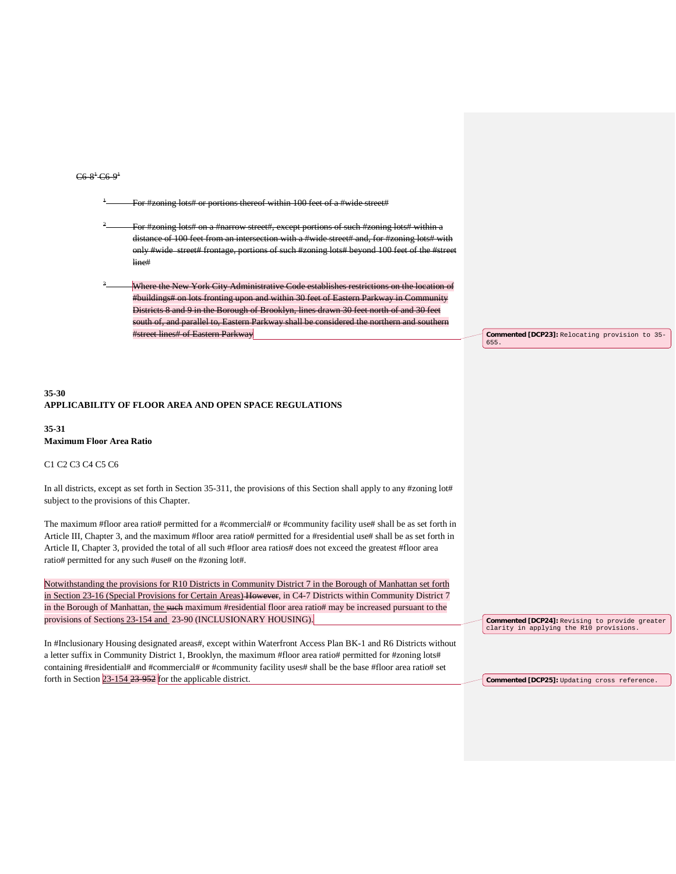### $C6.8$ <sup>1</sup>  $C6.9$ <sup>1</sup>

ing lots# or portions thereof within 100 feet of a #wide street#

ing lots# on a #narrow street#, except portions of such #zoning lots# within a distance of 100 feet from an intersection with a #wide street# and, for #zoning lots# with only #wide street# frontage, portions of such #zoning lots# beyond 100 feet of the #street line#

Where the New York City Administrative Code establishes restrictions on the location #buildings# on lots fronting upon and within 30 feet of Eastern Parkway in Community Districts 8 and 9 in the Borough of Brooklyn, lines drawn 30 feet north of and 30 feet south of, and parallel to, Eastern Parkway shall be considered the northern and southern  $#$  of E

## **35-30 APPLICABILITY OF FLOOR AREA AND OPEN SPACE REGULATIONS**

#### **35-31 Maximum Floor Area Ratio**

### C1 C2 C3 C4 C5 C6

In all districts, except as set forth in Section 35-311, the provisions of this Section shall apply to any #zoning lot# subject to the provisions of this Chapter.

The maximum #floor area ratio# permitted for a #commercial# or #community facility use# shall be as set forth in Article III, Chapter 3, and the maximum #floor area ratio# permitted for a #residential use# shall be as set forth in Article II, Chapter 3, provided the total of all such #floor area ratios# does not exceed the greatest #floor area ratio# permitted for any such #use# on the #zoning lot#.

Notwithstanding the provisions for R10 Districts in Community District 7 in the Borough of Manhattan set forth in Section 23-16 (Special Provisions for Certain Areas) However, in C4-7 Districts within Community District 7 in the Borough of Manhattan, the such maximum #residential floor area ratio# may be increased pursuant to the provisions of Sections 23-154 and 23-90 (INCLUSIONARY HOUSING).

In #Inclusionary Housing designated areas#, except within Waterfront Access Plan BK-1 and R6 Districts without a letter suffix in Community District 1, Brooklyn, the maximum #floor area ratio# permitted for #zoning lots# containing #residential# and #commercial# or #community facility uses# shall be the base #floor area ratio# set forth in Section  $23-154-23-952$  for the applicable district.

**Commented [DCP23]:** Relocating provision to 35- 655.

**Commented [DCP24]:** Revising to provide greater clarity in applying the R10 provisions.

**Commented [DCP25]:** Updating cross reference.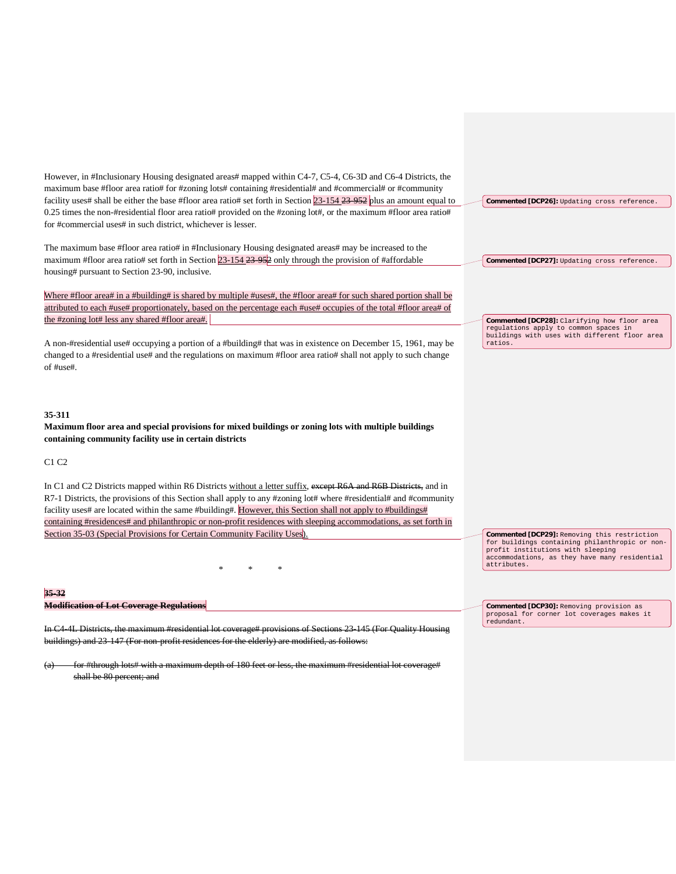| However, in #Inclusionary Housing designated areas# mapped within C4-7, C5-4, C6-3D and C6-4 Districts, the<br>maximum base #floor area ratio# for #zoning lots# containing #residential# and #commercial# or #community<br>facility uses# shall be either the base #floor area ratio# set forth in Section $23{\text -}154$ $23{\text -}952$ plus an amount equal to<br>0.25 times the non-#residential floor area ratio# provided on the #zoning lot#, or the maximum #floor area ratio#<br>for #commercial uses# in such district, whichever is lesser. | Commented [DCP26]: Updating cross reference.                                                                                                                                                        |
|------------------------------------------------------------------------------------------------------------------------------------------------------------------------------------------------------------------------------------------------------------------------------------------------------------------------------------------------------------------------------------------------------------------------------------------------------------------------------------------------------------------------------------------------------------|-----------------------------------------------------------------------------------------------------------------------------------------------------------------------------------------------------|
| The maximum base #floor area ratio# in #Inclusionary Housing designated areas# may be increased to the<br>maximum #floor area ratio# set forth in Section $23-154-23-952$ only through the provision of #affordable<br>housing# pursuant to Section 23-90, inclusive.                                                                                                                                                                                                                                                                                      | Commented [DCP27]: Updating cross reference.                                                                                                                                                        |
| Where #floor area# in a #building# is shared by multiple #uses#, the #floor area# for such shared portion shall be<br>attributed to each #use# proportionately, based on the percentage each #use# occupies of the total #floor area# of<br>the #zoning lot# less any shared #floor area#.                                                                                                                                                                                                                                                                 |                                                                                                                                                                                                     |
| A non-#residential use# occupying a portion of a #building# that was in existence on December 15, 1961, may be<br>changed to a #residential use# and the regulations on maximum #floor area ratio# shall not apply to such change<br>of #use#.                                                                                                                                                                                                                                                                                                             | <b>Commented [DCP28]</b> : Clarifying how floor area<br>regulations apply to common spaces in<br>buildings with uses with different floor area<br>ratios.                                           |
| 35-311<br>Maximum floor area and special provisions for mixed buildings or zoning lots with multiple buildings<br>containing community facility use in certain districts                                                                                                                                                                                                                                                                                                                                                                                   |                                                                                                                                                                                                     |
| C <sub>1</sub> C <sub>2</sub>                                                                                                                                                                                                                                                                                                                                                                                                                                                                                                                              |                                                                                                                                                                                                     |
| In C1 and C2 Districts mapped within R6 Districts without a letter suffix, except R6A and R6B Districts, and in<br>R7-1 Districts, the provisions of this Section shall apply to any #zoning lot# where #residential# and #community<br>facility uses# are located within the same #building#. However, this Section shall not apply to #buildings#<br>containing #residences# and philanthropic or non-profit residences with sleeping accommodations, as set forth in                                                                                    |                                                                                                                                                                                                     |
| Section 35-03 (Special Provisions for Certain Community Facility Uses)                                                                                                                                                                                                                                                                                                                                                                                                                                                                                     | Commented [DCP29]: Removing this restriction<br>for buildings containing philanthropic or non-<br>profit institutions with sleeping<br>accommodations, as they have many residential<br>attributes. |
|                                                                                                                                                                                                                                                                                                                                                                                                                                                                                                                                                            |                                                                                                                                                                                                     |
| 35-32<br><b>Modification of Lot Coverage Regulations</b><br>In C4 4L Districts, the maximum #residential lot coverage# provisions of Sections 23 145 (For Quality Housing                                                                                                                                                                                                                                                                                                                                                                                  | <b>Commented [DCP30]:</b> Removing provision as<br>proposal for corner lot coverages makes it<br>redundant.                                                                                         |
| buildings) and 23 147 (For non-profit residences for the elderly) are modified, as follows:                                                                                                                                                                                                                                                                                                                                                                                                                                                                |                                                                                                                                                                                                     |
|                                                                                                                                                                                                                                                                                                                                                                                                                                                                                                                                                            |                                                                                                                                                                                                     |

shall be 80 percent; and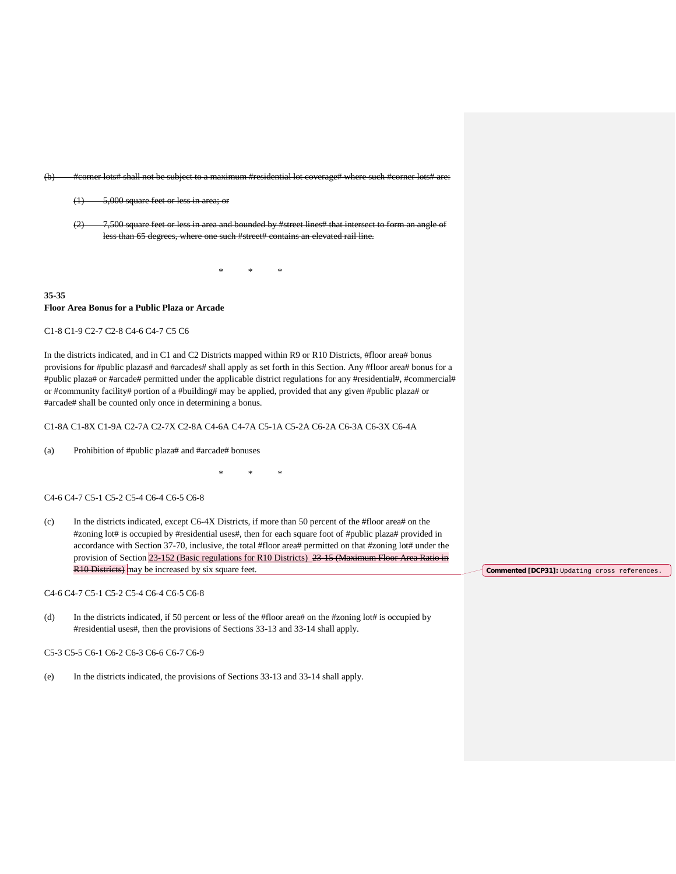(b) #corner lots# shall not be subject to a maximum #residential lot coverage# where such #corner lots# are:

- (1) 5,000 square feet or less in area; or
- $(2)$  7,500 square feet or less in area and bounded by #street lines# that less than 65 degrees, where one such #street# contains an elevated rail line.

\* \* \*

**35-35 Floor Area Bonus for a Public Plaza or Arcade**

#### C1-8 C1-9 C2-7 C2-8 C4-6 C4-7 C5 C6

In the districts indicated, and in C1 and C2 Districts mapped within R9 or R10 Districts, #floor area# bonus provisions for #public plazas# and #arcades# shall apply as set forth in this Section. Any #floor area# bonus for a #public plaza# or #arcade# permitted under the applicable district regulations for any #residential#, #commercial# or #community facility# portion of a #building# may be applied, provided that any given #public plaza# or #arcade# shall be counted only once in determining a bonus.

C1-8A C1-8X C1-9A C2-7A C2-7X C2-8A C4-6A C4-7A C5-1A C5-2A C6-2A C6-3A C6-3X C6-4A

(a) Prohibition of #public plaza# and #arcade# bonuses

\* \* \*

#### C4-6 C4-7 C5-1 C5-2 C5-4 C6-4 C6-5 C6-8

(c) In the districts indicated, except C6-4X Districts, if more than 50 percent of the #floor area# on the #zoning lot# is occupied by #residential uses#, then for each square foot of #public plaza# provided in accordance with Section 37-70, inclusive, the total #floor area# permitted on that #zoning lot# under the provision of Section 23-152 (Basic regulations for R10 Districts) 23-15 (Maximum Floor Area Ratio in R10 Districts) may be increased by six square feet.

### C4-6 C4-7 C5-1 C5-2 C5-4 C6-4 C6-5 C6-8

(d) In the districts indicated, if 50 percent or less of the #floor area# on the #zoning lot# is occupied by #residential uses#, then the provisions of Sections 33-13 and 33-14 shall apply.

#### C5-3 C5-5 C6-1 C6-2 C6-3 C6-6 C6-7 C6-9

(e) In the districts indicated, the provisions of Sections 33-13 and 33-14 shall apply.

**Commented [DCP31]:** Updating cross references.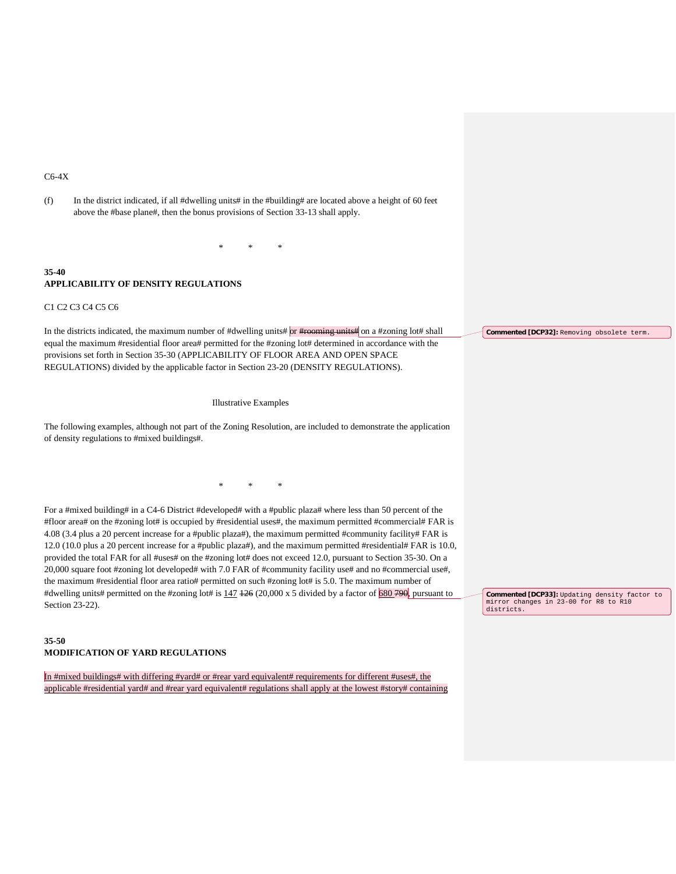# C6-4X

| (f)       | In the district indicated, if all #dwelling units# in the #building# are located above a height of 60 feet<br>above the #base plane#, then the bonus provisions of Section 33-13 shall apply.                                                                                                                                                                                                                                                                                                                                                                                                                                                                                                                                                                                                                                                                                                                                          |                                                     |
|-----------|----------------------------------------------------------------------------------------------------------------------------------------------------------------------------------------------------------------------------------------------------------------------------------------------------------------------------------------------------------------------------------------------------------------------------------------------------------------------------------------------------------------------------------------------------------------------------------------------------------------------------------------------------------------------------------------------------------------------------------------------------------------------------------------------------------------------------------------------------------------------------------------------------------------------------------------|-----------------------------------------------------|
|           |                                                                                                                                                                                                                                                                                                                                                                                                                                                                                                                                                                                                                                                                                                                                                                                                                                                                                                                                        |                                                     |
| 35-40     | <b>APPLICABILITY OF DENSITY REGULATIONS</b>                                                                                                                                                                                                                                                                                                                                                                                                                                                                                                                                                                                                                                                                                                                                                                                                                                                                                            |                                                     |
|           | C1 C2 C3 C4 C5 C6                                                                                                                                                                                                                                                                                                                                                                                                                                                                                                                                                                                                                                                                                                                                                                                                                                                                                                                      |                                                     |
|           | In the districts indicated, the maximum number of #dwelling units# or #required units# on a #zoning lot# shall<br>equal the maximum #residential floor area# permitted for the #zoning lot# determined in accordance with the<br>provisions set forth in Section 35-30 (APPLICABILITY OF FLOOR AREA AND OPEN SPACE<br>REGULATIONS) divided by the applicable factor in Section 23-20 (DENSITY REGULATIONS).                                                                                                                                                                                                                                                                                                                                                                                                                                                                                                                            | Commented [DCP32]: Removing obsolete term.          |
|           | Illustrative Examples<br>The following examples, although not part of the Zoning Resolution, are included to demonstrate the application<br>of density regulations to #mixed buildings#.                                                                                                                                                                                                                                                                                                                                                                                                                                                                                                                                                                                                                                                                                                                                               |                                                     |
|           | $\ast$<br>$\ast$                                                                                                                                                                                                                                                                                                                                                                                                                                                                                                                                                                                                                                                                                                                                                                                                                                                                                                                       |                                                     |
|           | For a #mixed building# in a C4-6 District #developed# with a #public plaza# where less than 50 percent of the<br>#floor area# on the #zoning lot# is occupied by #residential uses#, the maximum permitted #commercial# FAR is<br>4.08 (3.4 plus a 20 percent increase for a #public plaza#), the maximum permitted #community facility# FAR is<br>12.0 (10.0 plus a 20 percent increase for a #public plaza#), and the maximum permitted #residential# FAR is 10.0,<br>provided the total FAR for all #uses# on the #zoning lot# does not exceed 12.0, pursuant to Section 35-30. On a<br>20,000 square foot #zoning lot developed# with 7.0 FAR of #community facility use# and no #commercial use#,<br>the maximum #residential floor area ratio# permitted on such #zoning lot# is 5.0. The maximum number of<br>#dwelling units# permitted on the #zoning lot# is 147 126 (20,000 x 5 divided by a factor of 680 790, pursuant to | Commented [DCP33]: Updating density factor to       |
|           | Section 23-22).                                                                                                                                                                                                                                                                                                                                                                                                                                                                                                                                                                                                                                                                                                                                                                                                                                                                                                                        | mirror changes in 23-00 for R8 to R10<br>districts. |
| $35 - 50$ | <b>MODIFICATION OF YARD REGULATIONS</b>                                                                                                                                                                                                                                                                                                                                                                                                                                                                                                                                                                                                                                                                                                                                                                                                                                                                                                |                                                     |
|           | In #mixed buildings# with differing #yard# or #rear yard equivalent# requirements for different #uses#, the<br>applicable #residential yard# and #rear yard equivalent# regulations shall apply at the lowest #story# containing                                                                                                                                                                                                                                                                                                                                                                                                                                                                                                                                                                                                                                                                                                       |                                                     |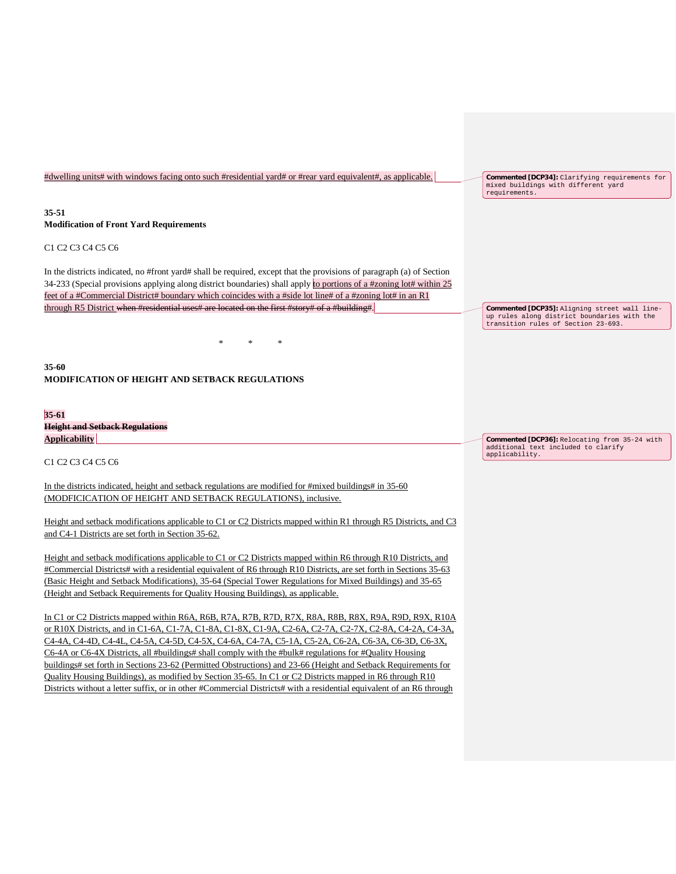| #dwelling units# with windows facing onto such #residential yard# or #rear yard equivalent#, as applicable.                                                                                                                                                                                                                                                                                                                                                                                                                                                                                                                                                                                                                                                                          | Commented [DCP34]: Clarifying requirements for<br>mixed buildings with different yard<br>requirements.                              |
|--------------------------------------------------------------------------------------------------------------------------------------------------------------------------------------------------------------------------------------------------------------------------------------------------------------------------------------------------------------------------------------------------------------------------------------------------------------------------------------------------------------------------------------------------------------------------------------------------------------------------------------------------------------------------------------------------------------------------------------------------------------------------------------|-------------------------------------------------------------------------------------------------------------------------------------|
| $35 - 51$<br><b>Modification of Front Yard Requirements</b>                                                                                                                                                                                                                                                                                                                                                                                                                                                                                                                                                                                                                                                                                                                          |                                                                                                                                     |
| C <sub>1</sub> C <sub>2</sub> C <sub>3</sub> C <sub>4</sub> C <sub>5</sub> C <sub>6</sub>                                                                                                                                                                                                                                                                                                                                                                                                                                                                                                                                                                                                                                                                                            |                                                                                                                                     |
| In the districts indicated, no #front yard# shall be required, except that the provisions of paragraph (a) of Section<br>34-233 (Special provisions applying along district boundaries) shall apply to portions of a #zoning lot# within 25<br>feet of a #Commercial District# boundary which coincides with a #side lot line# of a #zoning lot# in an R1                                                                                                                                                                                                                                                                                                                                                                                                                            |                                                                                                                                     |
| through R5 District when #residential uses# are located on the first #story# of a #building#.                                                                                                                                                                                                                                                                                                                                                                                                                                                                                                                                                                                                                                                                                        | Commented [DCP35]: Aligning street wall line-<br>up rules along district boundaries with the<br>transition rules of Section 23-693. |
| $\ast$                                                                                                                                                                                                                                                                                                                                                                                                                                                                                                                                                                                                                                                                                                                                                                               |                                                                                                                                     |
| $35 - 60$<br><b>MODIFICATION OF HEIGHT AND SETBACK REGULATIONS</b>                                                                                                                                                                                                                                                                                                                                                                                                                                                                                                                                                                                                                                                                                                                   |                                                                                                                                     |
| $35 - 61$                                                                                                                                                                                                                                                                                                                                                                                                                                                                                                                                                                                                                                                                                                                                                                            |                                                                                                                                     |
| <b>Height and Setback Regulations</b><br><b>Applicability</b>                                                                                                                                                                                                                                                                                                                                                                                                                                                                                                                                                                                                                                                                                                                        | Commented [DCP36]: Relocating from 35-24 with                                                                                       |
| C <sub>1</sub> C <sub>2</sub> C <sub>3</sub> C <sub>4</sub> C <sub>5</sub> C <sub>6</sub>                                                                                                                                                                                                                                                                                                                                                                                                                                                                                                                                                                                                                                                                                            | additional text included to clarify<br>applicability.                                                                               |
|                                                                                                                                                                                                                                                                                                                                                                                                                                                                                                                                                                                                                                                                                                                                                                                      |                                                                                                                                     |
| In the districts indicated, height and setback regulations are modified for #mixed buildings# in 35-60<br>(MODFICICATION OF HEIGHT AND SETBACK REGULATIONS), inclusive.                                                                                                                                                                                                                                                                                                                                                                                                                                                                                                                                                                                                              |                                                                                                                                     |
|                                                                                                                                                                                                                                                                                                                                                                                                                                                                                                                                                                                                                                                                                                                                                                                      |                                                                                                                                     |
| Height and setback modifications applicable to C1 or C2 Districts mapped within R1 through R5 Districts, and C3<br>and C4-1 Districts are set forth in Section 35-62.                                                                                                                                                                                                                                                                                                                                                                                                                                                                                                                                                                                                                |                                                                                                                                     |
|                                                                                                                                                                                                                                                                                                                                                                                                                                                                                                                                                                                                                                                                                                                                                                                      |                                                                                                                                     |
| Height and setback modifications applicable to C1 or C2 Districts mapped within R6 through R10 Districts, and<br>#Commercial Districts# with a residential equivalent of R6 through R10 Districts, are set forth in Sections 35-63                                                                                                                                                                                                                                                                                                                                                                                                                                                                                                                                                   |                                                                                                                                     |
| (Basic Height and Setback Modifications), 35-64 (Special Tower Regulations for Mixed Buildings) and 35-65                                                                                                                                                                                                                                                                                                                                                                                                                                                                                                                                                                                                                                                                            |                                                                                                                                     |
| (Height and Setback Requirements for Quality Housing Buildings), as applicable.                                                                                                                                                                                                                                                                                                                                                                                                                                                                                                                                                                                                                                                                                                      |                                                                                                                                     |
| In C1 or C2 Districts mapped within R6A, R6B, R7A, R7B, R7D, R7X, R8A, R8B, R8X, R9A, R9D, R9X, R10A<br>or R10X Districts, and in C1-6A, C1-7A, C1-8A, C1-8X, C1-9A, C2-6A, C2-7A, C2-7X, C2-8A, C4-2A, C4-3A,<br>C4-4A, C4-4D, C4-4L, C4-5A, C4-5D, C4-5X, C4-6A, C4-7A, C5-1A, C5-2A, C6-2A, C6-3A, C6-3D, C6-3X,<br>C6-4A or C6-4X Districts, all #buildings# shall comply with the #bulk# regulations for #Quality Housing<br>buildings# set forth in Sections 23-62 (Permitted Obstructions) and 23-66 (Height and Setback Requirements for<br>Quality Housing Buildings), as modified by Section 35-65. In C1 or C2 Districts mapped in R6 through R10<br>Districts without a letter suffix, or in other #Commercial Districts# with a residential equivalent of an R6 through |                                                                                                                                     |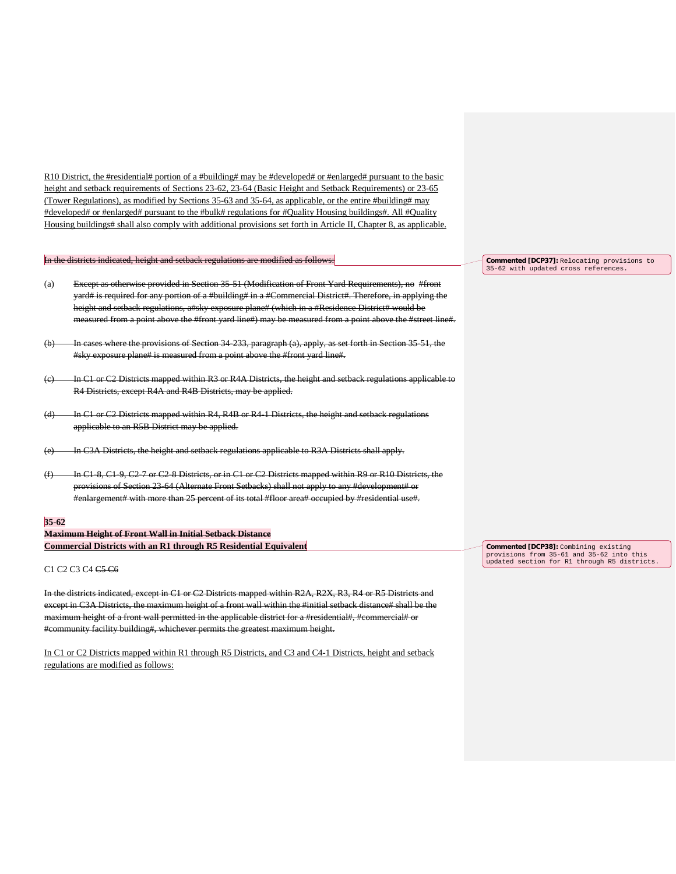R10 District, the #residential# portion of a #building# may be #developed# or #enlarged# pursuant to the basic height and setback requirements of Sections 23-62, 23-64 (Basic Height and Setback Requirements) or 23-65 (Tower Regulations), as modified by Sections 35-63 and 35-64, as applicable, or the entire #building# may #developed# or #enlarged# pursuant to the #bulk# regulations for #Quality Housing buildings#. All #Quality Housing buildings# shall also comply with additional provisions set forth in Article II, Chapter 8, as applicable.

In the districts indicated, height and setback regulations are modified as follows:

- (a) Except as otherwise provided in Section 35-51 (Modification of Front Yard Requirements), no #front yard# is required for any portion of a #building# in a #Commercial District#. Therefore, in applying the height and setback regulations, a#sky exposure plane# (which in a #Residence District# would be measured from a point above the #front yard line#) may be measured from a point above the #street line#.
- (b) In cases where the provisions of Section 34-233, paragraph (a), apply, as set forth in Section 35-51, the #sky exposure plane# is measured from a point above the #front yard line#.
- In C1 or C2 Districts mapped within R3 or R4A Districts, the height and setback regulations applicable to R4 Districts, except R4A and R4B Districts, may be applied.
- (d) In C1 or C2 Districts mapped within R4, R4B or R4-1 Districts, the height and setback regulations applicable to an R5B District may be applied.
- (e) In C3A Districts, the height and setback regulations applicable to R3A Districts shall apply.
- In C1-8, C1-9, C2-7 or C2-8 Districts, or in C1 or C2 Districts mapped within R9 or R10 Districts, the provisions of Section 23-64 (Alternate Front Setbacks) shall not apply to any #development# or #enlargement# with more than 25 percent of its total #floor area# occupied by #residential use#.

#### **35-62**

**Maximum Height of Front Wall in Initial Setback Distance Commercial Districts with an R1 through R5 Residential Equivalent**

#### C1 C2 C3 C4 C5 C6

In the districts indicated, except in C1 or C2 Districts mapped within R2A, R2X, R3, R4 or R5 Districts and except in C3A Districts, the maximum height of a front wall within the #initial setback distance# shall be the maximum height of a front wall permitted in the applicable district for a #residential#, #commercial# or #community facility building#, whichever permits the greatest maximum height.

In C1 or C2 Districts mapped within R1 through R5 Districts, and C3 and C4-1 Districts, height and setback regulations are modified as follows:

**Commented [DCP37]:** Relocating provisions to 35-62 with updated cross references.

**Commented [DCP38]:** Combining existing provisions from 35-61 and 35-62 into this updated section for R1 through R5 districts.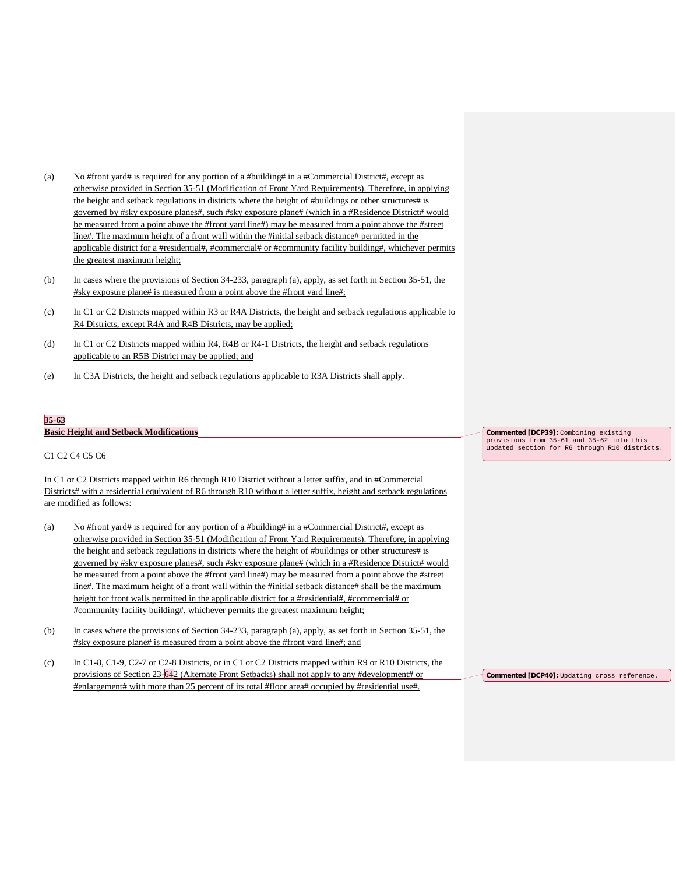- (a) No #front yard# is required for any portion of a #building# in a #Commercial District#, except as otherwise provided in Section 35-51 (Modification of Front Yard Requirements). Therefore, in applying the height and setback regulations in districts where the height of #buildings or other structures# is governed by #sky exposure planes#, such #sky exposure plane# (which in a #Residence District# would be measured from a point above the #front yard line#) may be measured from a point above the #street line#. The maximum height of a front wall within the #initial setback distance# permitted in the applicable district for a #residential#, #commercial# or #community facility building#, whichever permits the greatest maximum height;
- (b) In cases where the provisions of Section 34-233, paragraph (a), apply, as set forth in Section 35-51, the #sky exposure plane# is measured from a point above the #front yard line#;
- (c) In C1 or C2 Districts mapped within R3 or R4A Districts, the height and setback regulations applicable to R4 Districts, except R4A and R4B Districts, may be applied;
- (d) In C1 or C2 Districts mapped within R4, R4B or R4-1 Districts, the height and setback regulations applicable to an R5B District may be applied; and
- (e) In C3A Districts, the height and setback regulations applicable to R3A Districts shall apply.

### **35-63**

#### **Basic Height and Setback Modifications**

### C1 C2 C4 C5 C6

In C1 or C2 Districts mapped within R6 through R10 District without a letter suffix, and in #Commercial Districts# with a residential equivalent of R6 through R10 without a letter suffix, height and setback regulations are modified as follows:

- (a) No #front yard# is required for any portion of a #building# in a #Commercial District#, except as otherwise provided in Section 35-51 (Modification of Front Yard Requirements). Therefore, in applying the height and setback regulations in districts where the height of #buildings or other structures# is governed by #sky exposure planes#, such #sky exposure plane# (which in a #Residence District# would be measured from a point above the #front yard line#) may be measured from a point above the #street line#. The maximum height of a front wall within the #initial setback distance# shall be the maximum height for front walls permitted in the applicable district for a #residential#, #commercial# or #community facility building#, whichever permits the greatest maximum height;
- (b) In cases where the provisions of Section 34-233, paragraph (a), apply, as set forth in Section 35-51, the #sky exposure plane# is measured from a point above the #front yard line#; and
- (c) In C1-8, C1-9, C2-7 or C2-8 Districts, or in C1 or C2 Districts mapped within R9 or R10 Districts, the provisions of Section 23-642 (Alternate Front Setbacks) shall not apply to any #development# or #enlargement# with more than 25 percent of its total #floor area# occupied by #residential use#.

**Commented [DCP39]:** Combining existing provisions from 35-61 and 35-62 into this updated section for R6 through R10 districts.

**Commented [DCP40]:** Updating cross reference.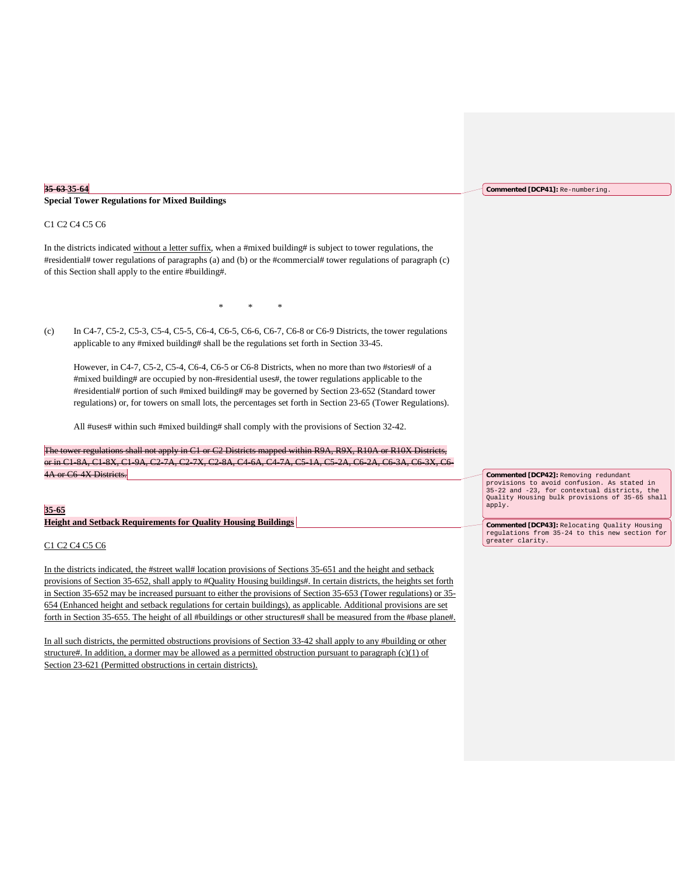#### **35-63 35-64**

**Special Tower Regulations for Mixed Buildings**

#### C1 C2 C4 C5 C6

In the districts indicated without a letter suffix, when a #mixed building# is subject to tower regulations, the #residential# tower regulations of paragraphs (a) and (b) or the #commercial# tower regulations of paragraph (c) of this Section shall apply to the entire #building#.

\* \* \*

(c) In C4-7, C5-2, C5-3, C5-4, C5-5, C6-4, C6-5, C6-6, C6-7, C6-8 or C6-9 Districts, the tower regulations applicable to any #mixed building# shall be the regulations set forth in Section 33-45.

However, in C4-7, C5-2, C5-4, C6-4, C6-5 or C6-8 Districts, when no more than two #stories# of a #mixed building# are occupied by non-#residential uses#, the tower regulations applicable to the #residential# portion of such #mixed building# may be governed by Section 23-652 (Standard tower regulations) or, for towers on small lots, the percentages set forth in Section 23-65 (Tower Regulations).

All #uses# within such #mixed building# shall comply with the provisions of Section 32-42.

not apply in C1 or C2 Districts mapped within R9A, R9X, R10A or R10X Districts, or in C1-8A, C1-8X, C1-9A, C2-7A, C2-7X, C2-8A, C4-6A, C4-7A, C5-1A, C5-2A, C6-2A, C6-3A, C6-3X, C6- 4A or C6-4X Districts.

#### **35-65**

**Height and Setback Requirements for Quality Housing Buildings** 

## C1 C2 C4 C5 C6

In the districts indicated, the #street wall# location provisions of Sections 35-651 and the height and setback provisions of Section 35-652, shall apply to #Quality Housing buildings#. In certain districts, the heights set forth in Section 35-652 may be increased pursuant to either the provisions of Section 35-653 (Tower regulations) or 35- 654 (Enhanced height and setback regulations for certain buildings), as applicable. Additional provisions are set forth in Section 35-655. The height of all #buildings or other structures# shall be measured from the #base plane#.

In all such districts, the permitted obstructions provisions of Section 33-42 shall apply to any #building or other structure#. In addition, a dormer may be allowed as a permitted obstruction pursuant to paragraph  $(c)(1)$  of Section 23-621 (Permitted obstructions in certain districts).

**Commented [DCP41]:** Re-numbering.

**Commented [DCP42]:** Removing redundant provisions to avoid confusion. As stated in 35-22 and -23, for contextual districts, the Quality Housing bulk provisions of 35-65 shall apply.

**Commented [DCP43]:** Relocating Quality Housing regulations from 35-24 to this new section for greater clarity.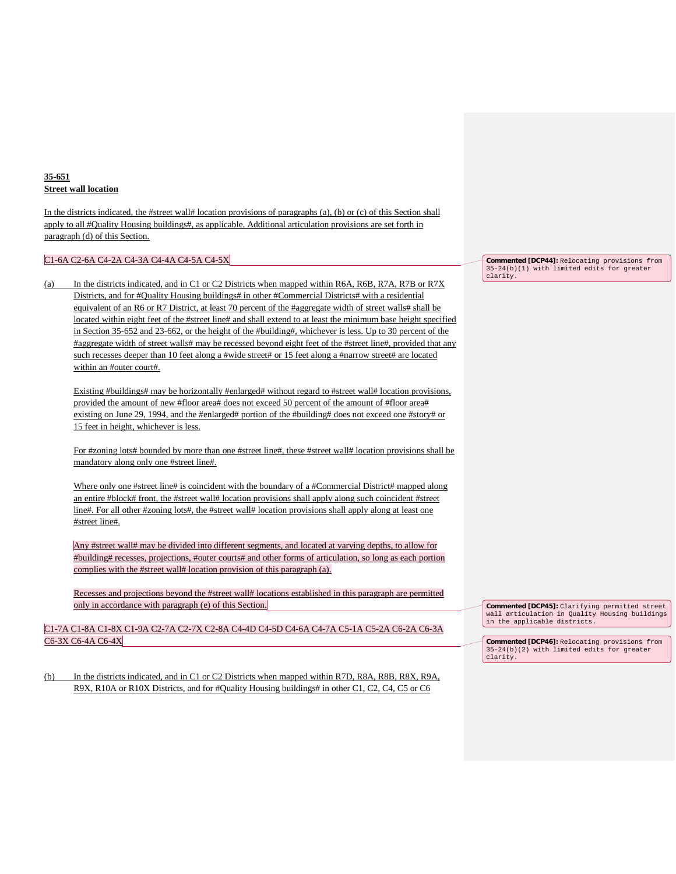## **35-651 Street wall location**

In the districts indicated, the #street wall# location provisions of paragraphs (a), (b) or (c) of this Section shall apply to all #Quality Housing buildings#, as applicable. Additional articulation provisions are set forth in paragraph (d) of this Section.

### C1-6A C2-6A C4-2A C4-3A C4-4A C4-5A C4-5X

(a) In the districts indicated, and in C1 or C2 Districts when mapped within R6A, R6B, R7A, R7B or R7X Districts, and for #Quality Housing buildings# in other #Commercial Districts# with a residential equivalent of an R6 or R7 District, at least 70 percent of the #aggregate width of street walls# shall be located within eight feet of the #street line# and shall extend to at least the minimum base height specified in Section 35-652 and 23-662, or the height of the #building#, whichever is less. Up to 30 percent of the #aggregate width of street walls# may be recessed beyond eight feet of the #street line#, provided that any such recesses deeper than 10 feet along a #wide street# or 15 feet along a #narrow street# are located within an #outer court#.

Existing #buildings# may be horizontally #enlarged# without regard to #street wall# location provisions, provided the amount of new #floor area# does not exceed 50 percent of the amount of #floor area# existing on June 29, 1994, and the #enlarged# portion of the #building# does not exceed one #story# or 15 feet in height, whichever is less.

For #zoning lots# bounded by more than one #street line#, these #street wall# location provisions shall be mandatory along only one #street line#.

Where only one #street line# is coincident with the boundary of a #Commercial District# mapped along an entire #block# front, the #street wall# location provisions shall apply along such coincident #street line#. For all other #zoning lots#, the #street wall# location provisions shall apply along at least one #street line#.

Any #street wall# may be divided into different segments, and located at varying depths, to allow for #building# recesses, projections, #outer courts# and other forms of articulation, so long as each portion complies with the #street wall# location provision of this paragraph (a).

Recesses and projections beyond the #street wall# locations established in this paragraph are permitted only in accordance with paragraph (e) of this Section.

C1-7A C1-8A C1-8X C1-9A C2-7A C2-7X C2-8A C4-4D C4-5D C4-6A C4-7A C5-1A C5-2A C6-2A C6-3A C6-3X C6-4A C6-4X

(b) In the districts indicated, and in C1 or C2 Districts when mapped within R7D, R8A, R8B, R8X, R9A, R9X, R10A or R10X Districts, and for #Quality Housing buildings# in other C1, C2, C4, C5 or C6

**Commented [DCP44]:** Relocating provisions from 35-24(b)(1) with limited edits for greater clarity.

**Commented [DCP45]:** Clarifying permitted street wall articulation in Quality Housing buildings in the applicable districts.

**Commented [DCP46]:** Relocating provisions from 35-24(b)(2) with limited edits for greater clarity.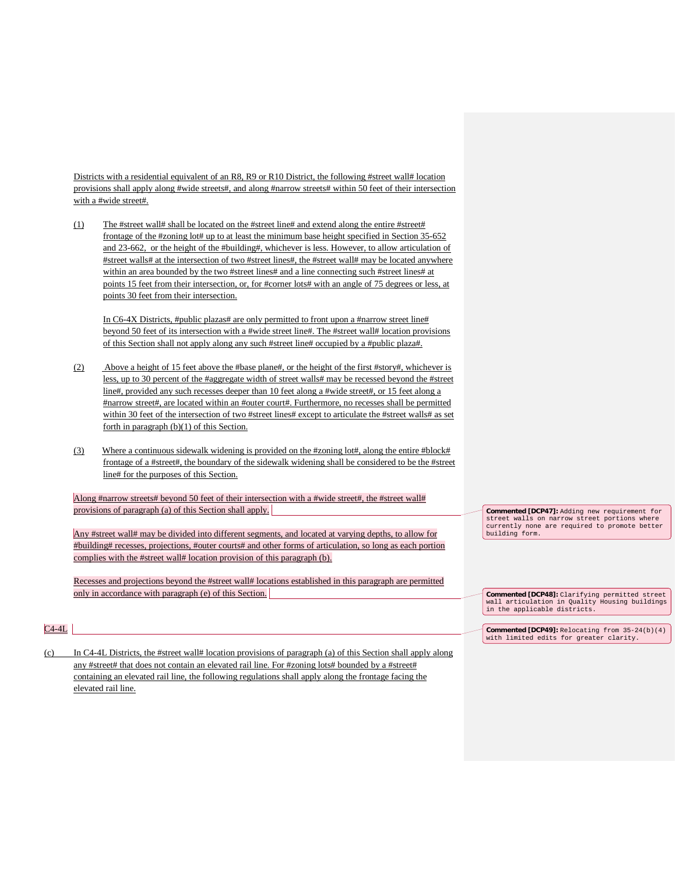Districts with a residential equivalent of an R8, R9 or R10 District, the following #street wall# location provisions shall apply along #wide streets#, and along #narrow streets# within 50 feet of their intersection with a #wide street#.

(1) The #street wall# shall be located on the #street line# and extend along the entire #street# frontage of the #zoning lot# up to at least the minimum base height specified in Section 35-652 and 23-662, or the height of the #building#, whichever is less. However, to allow articulation of #street walls# at the intersection of two #street lines#, the #street wall# may be located anywhere within an area bounded by the two #street lines# and a line connecting such #street lines# at points 15 feet from their intersection, or, for #corner lots# with an angle of 75 degrees or less, at points 30 feet from their intersection.

In C6-4X Districts, #public plazas# are only permitted to front upon a #narrow street line# beyond 50 feet of its intersection with a #wide street line#. The #street wall# location provisions of this Section shall not apply along any such #street line# occupied by a #public plaza#.

- (2) Above a height of 15 feet above the #base plane#, or the height of the first #story#, whichever is less, up to 30 percent of the #aggregate width of street walls# may be recessed beyond the #street line#, provided any such recesses deeper than 10 feet along a #wide street#, or 15 feet along a #narrow street#, are located within an #outer court#. Furthermore, no recesses shall be permitted within 30 feet of the intersection of two #street lines# except to articulate the #street walls# as set forth in paragraph (b)(1) of this Section.
- (3) Where a continuous sidewalk widening is provided on the #zoning lot#, along the entire #block# frontage of a #street#, the boundary of the sidewalk widening shall be considered to be the #street line# for the purposes of this Section.

Along #narrow streets# beyond 50 feet of their intersection with a #wide street#, the #street wall# provisions of paragraph (a) of this Section shall apply.

Any #street wall# may be divided into different segments, and located at varying depths, to allow for #building# recesses, projections, #outer courts# and other forms of articulation, so long as each portion complies with the #street wall# location provision of this paragraph (b).

Recesses and projections beyond the #street wall# locations established in this paragraph are permitted only in accordance with paragraph (e) of this Section.

**Commented [DCP47]:** Adding new requirement for street walls on narrow street portions where currently none are required to promote better building form.

 $C4-4L$ 

(c) In C4-4L Districts, the #street wall# location provisions of paragraph (a) of this Section shall apply along any #street# that does not contain an elevated rail line. For #zoning lots# bounded by a #street# containing an elevated rail line, the following regulations shall apply along the frontage facing the elevated rail line.

**Commented [DCP48]:** Clarifying permitted street wall articulation in Quality Housing buildings in the applicable districts.

**Commented [DCP49]:** Relocating from 35-24(b)(4) with limited edits for greater clarity.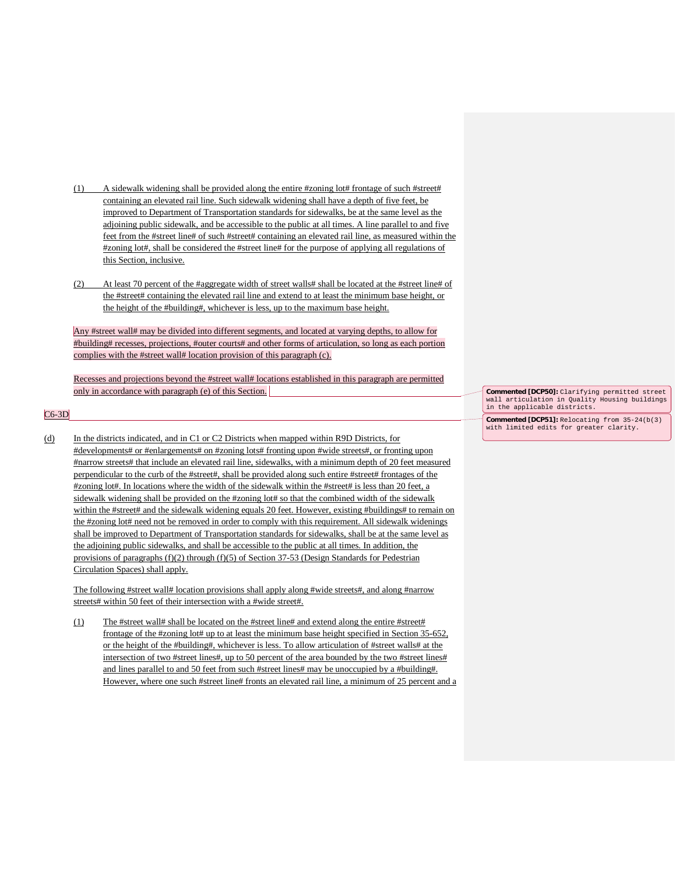- (1) A sidewalk widening shall be provided along the entire #zoning lot# frontage of such #street# containing an elevated rail line. Such sidewalk widening shall have a depth of five feet, be improved to Department of Transportation standards for sidewalks, be at the same level as the adjoining public sidewalk, and be accessible to the public at all times. A line parallel to and five feet from the #street line# of such #street# containing an elevated rail line, as measured within the #zoning lot#, shall be considered the #street line# for the purpose of applying all regulations of this Section, inclusive.
- (2) At least 70 percent of the #aggregate width of street walls# shall be located at the #street line# of the #street# containing the elevated rail line and extend to at least the minimum base height, or the height of the #building#, whichever is less, up to the maximum base height.

Any #street wall# may be divided into different segments, and located at varying depths, to allow for #building# recesses, projections, #outer courts# and other forms of articulation, so long as each portion complies with the #street wall# location provision of this paragraph (c).

Recesses and projections beyond the #street wall# locations established in this paragraph are permitted only in accordance with paragraph (e) of this Section.

#### $C6-3D$

(d) In the districts indicated, and in C1 or C2 Districts when mapped within R9D Districts, for #developments# or #enlargements# on #zoning lots# fronting upon #wide streets#, or fronting upon #narrow streets# that include an elevated rail line, sidewalks, with a minimum depth of 20 feet measured perpendicular to the curb of the #street#, shall be provided along such entire #street# frontages of the #zoning lot#. In locations where the width of the sidewalk within the #street# is less than 20 feet, a sidewalk widening shall be provided on the #zoning lot# so that the combined width of the sidewalk within the #street# and the sidewalk widening equals 20 feet. However, existing #buildings# to remain on the #zoning lot# need not be removed in order to comply with this requirement. All sidewalk widenings shall be improved to Department of Transportation standards for sidewalks, shall be at the same level as the adjoining public sidewalks, and shall be accessible to the public at all times. In addition, the provisions of paragraphs (f)(2) through (f)(5) of Section 37-53 (Design Standards for Pedestrian Circulation Spaces) shall apply.

The following #street wall# location provisions shall apply along #wide streets#, and along #narrow streets# within 50 feet of their intersection with a #wide street#.

(1) The #street wall# shall be located on the #street line# and extend along the entire #street# frontage of the #zoning lot# up to at least the minimum base height specified in Section 35-652, or the height of the #building#, whichever is less. To allow articulation of #street walls# at the intersection of two #street lines#, up to 50 percent of the area bounded by the two #street lines# and lines parallel to and 50 feet from such #street lines# may be unoccupied by a #building#. However, where one such #street line# fronts an elevated rail line, a minimum of 25 percent and a

**Commented [DCP50]:** Clarifying permitted street wall articulation in Quality Housing buildings in the applicable districts.

**Commented [DCP51]:** Relocating from 35-24(b(3) with limited edits for greater clarity.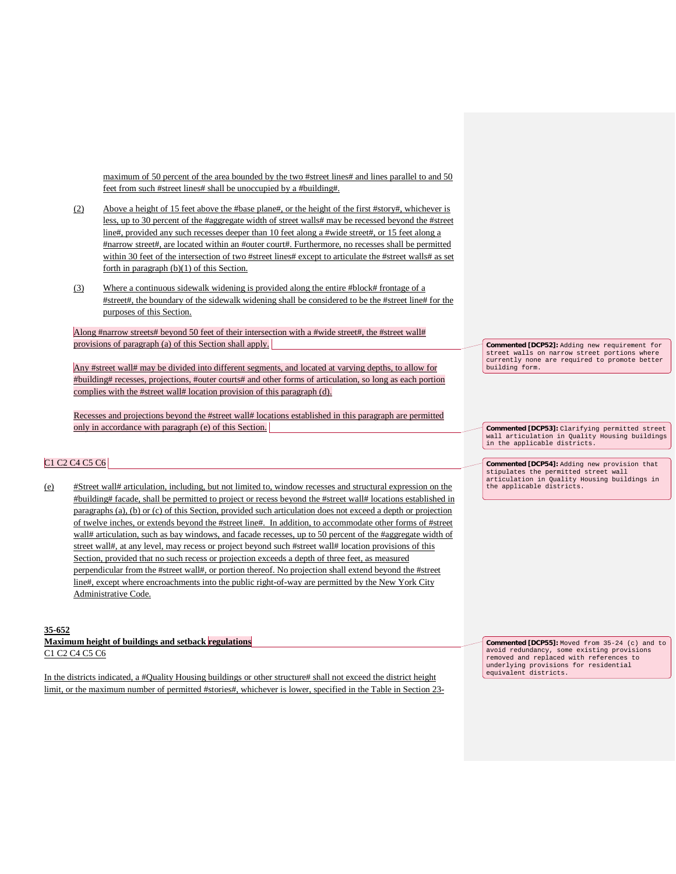maximum of 50 percent of the area bounded by the two #street lines# and lines parallel to and 50 feet from such #street lines# shall be unoccupied by a #building#.

- (2) Above a height of 15 feet above the #base plane#, or the height of the first #story#, whichever is less, up to 30 percent of the #aggregate width of street walls# may be recessed beyond the #street line#, provided any such recesses deeper than 10 feet along a #wide street#, or 15 feet along a #narrow street#, are located within an #outer court#. Furthermore, no recesses shall be permitted within 30 feet of the intersection of two #street lines# except to articulate the #street walls# as set forth in paragraph (b)(1) of this Section.
- (3) Where a continuous sidewalk widening is provided along the entire #block# frontage of a #street#, the boundary of the sidewalk widening shall be considered to be the #street line# for the purposes of this Section.

Along #narrow streets# beyond 50 feet of their intersection with a #wide street#, the #street wall# provisions of paragraph (a) of this Section shall apply.

Any #street wall# may be divided into different segments, and located at varying depths, to allow for #building# recesses, projections, #outer courts# and other forms of articulation, so long as each portion complies with the #street wall# location provision of this paragraph (d).

Recesses and projections beyond the #street wall# locations established in this paragraph are permitted only in accordance with paragraph (e) of this Section.

### C1 C2 C4 C5 C6

(e) #Street wall# articulation, including, but not limited to, window recesses and structural expression on the #building# facade, shall be permitted to project or recess beyond the #street wall# locations established in paragraphs (a), (b) or (c) of this Section, provided such articulation does not exceed a depth or projection of twelve inches, or extends beyond the #street line#. In addition, to accommodate other forms of #street wall# articulation, such as bay windows, and facade recesses, up to 50 percent of the #aggregate width of street wall#, at any level, may recess or project beyond such #street wall# location provisions of this Section, provided that no such recess or projection exceeds a depth of three feet, as measured perpendicular from the #street wall#, or portion thereof. No projection shall extend beyond the #street line#, except where encroachments into the public right-of-way are permitted by the New York City Administrative Code.

#### **35-652**

**Maximum height of buildings and setback regulations** C1 C2 C4 C5 C6

In the districts indicated, a #Quality Housing buildings or other structure# shall not exceed the district height limit, or the maximum number of permitted #stories#, whichever is lower, specified in the Table in Section 23**Commented [DCP52]:** Adding new requirement for street walls on narrow street portions where currently none are required to promote better building form.

**Commented [DCP53]:** Clarifying permitted street wall articulation in Quality Housing buildings in the applicable districts.

**Commented [DCP54]:** Adding new provision that stipulates the permitted street wall articulation in Quality Housing buildings in the applicable districts.

**Commented [DCP55]:** Moved from 35-24 (c) and to avoid redundancy, some existing provisions removed and replaced with references to underlying provisions for residential equivalent districts.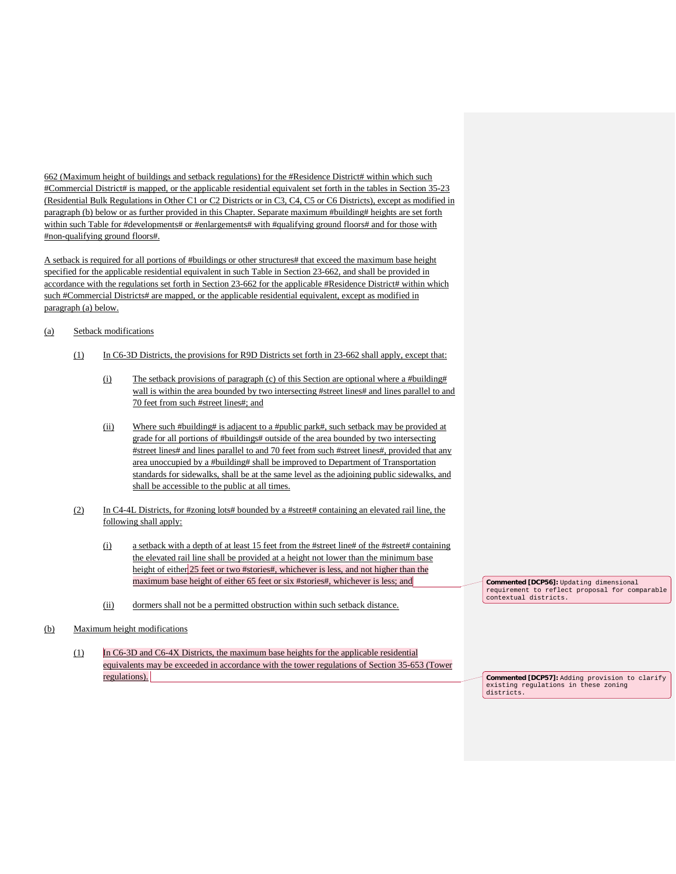662 (Maximum height of buildings and setback regulations) for the #Residence District# within which such #Commercial District# is mapped, or the applicable residential equivalent set forth in the tables in Section 35-23 (Residential Bulk Regulations in Other C1 or C2 Districts or in C3, C4, C5 or C6 Districts), except as modified in paragraph (b) below or as further provided in this Chapter. Separate maximum #building# heights are set forth within such Table for #developments# or #enlargements# with #qualifying ground floors# and for those with #non-qualifying ground floors#.

A setback is required for all portions of #buildings or other structures# that exceed the maximum base height specified for the applicable residential equivalent in such Table in Section 23-662, and shall be provided in accordance with the regulations set forth in Section 23-662 for the applicable #Residence District# within which such #Commercial Districts# are mapped, or the applicable residential equivalent, except as modified in paragraph (a) below.

### (a) Setback modifications

- (1) In C6-3D Districts, the provisions for R9D Districts set forth in 23-662 shall apply, except that:
	- (i) The setback provisions of paragraph (c) of this Section are optional where a #building# wall is within the area bounded by two intersecting #street lines# and lines parallel to and 70 feet from such #street lines#; and
	- (ii) Where such #building# is adjacent to a #public park#, such setback may be provided at grade for all portions of #buildings# outside of the area bounded by two intersecting #street lines# and lines parallel to and 70 feet from such #street lines#, provided that any area unoccupied by a #building# shall be improved to Department of Transportation standards for sidewalks, shall be at the same level as the adjoining public sidewalks, and shall be accessible to the public at all times.
- (2) In C4-4L Districts, for #zoning lots# bounded by a #street# containing an elevated rail line, the following shall apply:
	- (i) a setback with a depth of at least 15 feet from the #street line# of the #street# containing the elevated rail line shall be provided at a height not lower than the minimum base height of either 25 feet or two #stories#, whichever is less, and not higher than the maximum base height of either 65 feet or six #stories#, whichever is less; and
	- (ii) dormers shall not be a permitted obstruction within such setback distance.

### (b) Maximum height modifications

(1) In C6-3D and C6-4X Districts, the maximum base heights for the applicable residential equivalents may be exceeded in accordance with the tower regulations of Section 35-653 (Tower regulations).

**Commented [DCP56]:** Updating dimensional requirement to reflect proposal for comparable contextual districts.

**Commented [DCP57]:** Adding provision to clarify existing regulations in these zoning districts.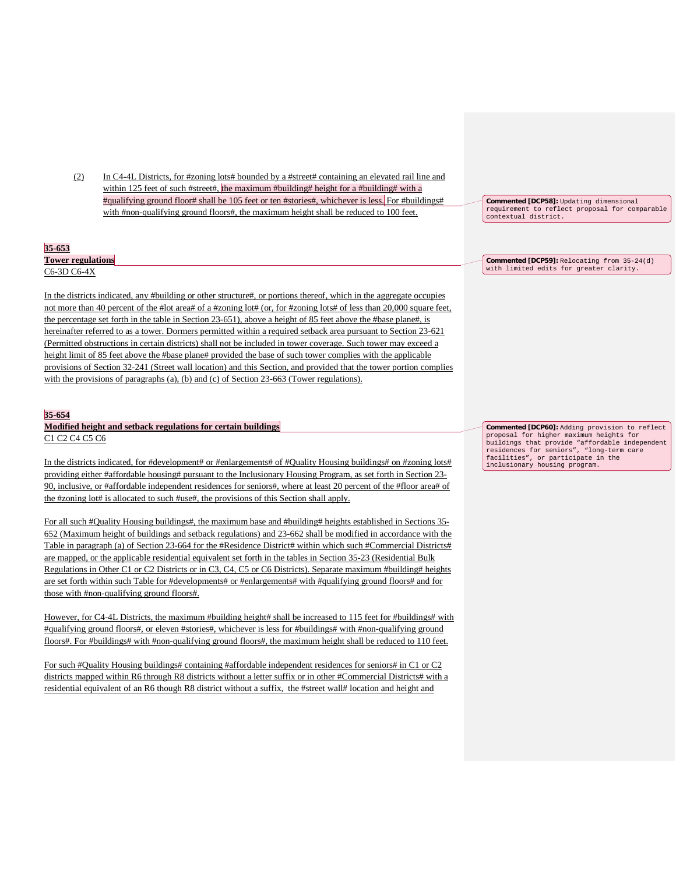(2) In C4-4L Districts, for #zoning lots# bounded by a #street# containing an elevated rail line and within 125 feet of such #street#, the maximum #building# height for a #building# with a #qualifying ground floor# shall be 105 feet or ten #stories#, whichever is less. For #buildings# with #non-qualifying ground floors#, the maximum height shall be reduced to 100 feet.

| 35-653                   |
|--------------------------|
| <b>Tower regulations</b> |
| C6-3D C6-4X              |

In the districts indicated, any #building or other structure#, or portions thereof, which in the aggregate occupies not more than 40 percent of the #lot area# of a #zoning lot# (or, for #zoning lots# of less than 20,000 square feet, the percentage set forth in the table in Section 23-651), above a height of 85 feet above the #base plane#, is hereinafter referred to as a tower. Dormers permitted within a required setback area pursuant to Section 23-621 (Permitted obstructions in certain districts) shall not be included in tower coverage. Such tower may exceed a height limit of 85 feet above the #base plane# provided the base of such tower complies with the applicable provisions of Section 32-241 (Street wall location) and this Section, and provided that the tower portion complies with the provisions of paragraphs (a), (b) and (c) of Section 23-663 (Tower regulations).

#### **35-654**

**Modified height and setback regulations for certain buildings** C1 C2 C4 C5 C6

In the districts indicated, for #development# or #enlargements# of #Quality Housing buildings# on #zoning lots# providing either #affordable housing# pursuant to the Inclusionary Housing Program, as set forth in Section 23- 90, inclusive, or #affordable independent residences for seniors#, where at least 20 percent of the #floor area# of the #zoning lot# is allocated to such #use#, the provisions of this Section shall apply.

For all such #Quality Housing buildings#, the maximum base and #building# heights established in Sections 35- 652 (Maximum height of buildings and setback regulations) and 23-662 shall be modified in accordance with the Table in paragraph (a) of Section 23-664 for the #Residence District# within which such #Commercial Districts# are mapped, or the applicable residential equivalent set forth in the tables in Section 35-23 (Residential Bulk Regulations in Other C1 or C2 Districts or in C3, C4, C5 or C6 Districts). Separate maximum #building# heights are set forth within such Table for #developments# or #enlargements# with #qualifying ground floors# and for those with #non-qualifying ground floors#.

However, for C4-4L Districts, the maximum #building height# shall be increased to 115 feet for #buildings# with #qualifying ground floors#, or eleven #stories#, whichever is less for #buildings# with #non-qualifying ground floors#. For #buildings# with #non-qualifying ground floors#, the maximum height shall be reduced to 110 feet.

For such #Quality Housing buildings# containing #affordable independent residences for seniors# in C1 or C2 districts mapped within R6 through R8 districts without a letter suffix or in other #Commercial Districts# with a residential equivalent of an R6 though R8 district without a suffix, the #street wall# location and height and

**Commented [DCP58]:** Updating dimensional requirement to reflect proposal for comparable contextual district.

**Commented [DCP59]:** Relocating from 35-24(d) with limited edits for greater clarity.

**Commented [DCP60]:** Adding provision to reflect proposal for higher maximum heights for buildings that provide "affordable independent residences for seniors", "long-term care facilities", or participate in the inclusionary housing program.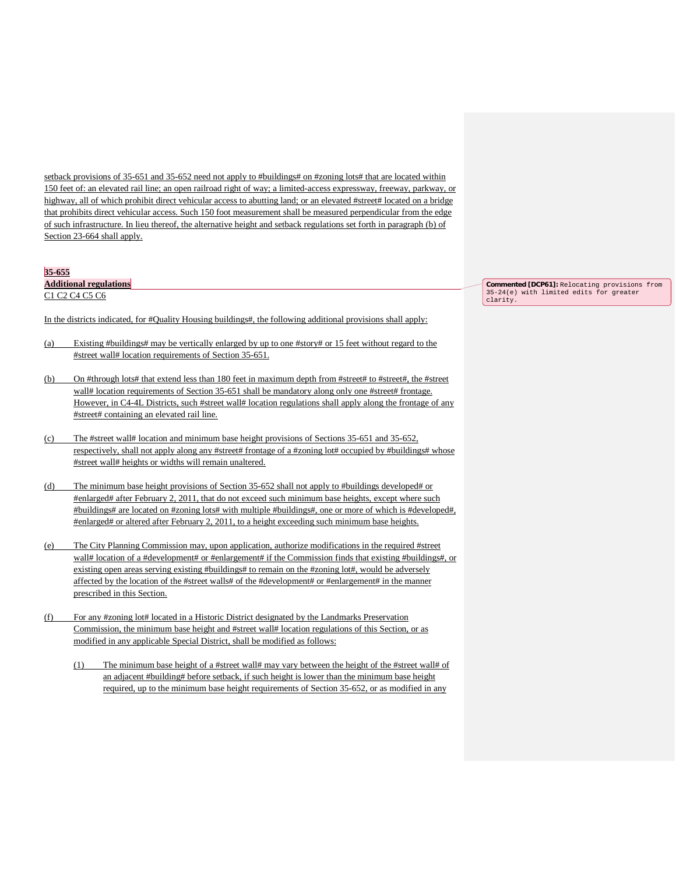setback provisions of 35-651 and 35-652 need not apply to #buildings# on #zoning lots# that are located within 150 feet of: an elevated rail line; an open railroad right of way; a limited-access expressway, freeway, parkway, or highway, all of which prohibit direct vehicular access to abutting land; or an elevated #street# located on a bridge that prohibits direct vehicular access. Such 150 foot measurement shall be measured perpendicular from the edge of such infrastructure. In lieu thereof, the alternative height and setback regulations set forth in paragraph (b) of Section 23-664 shall apply.

#### **35-655**

**Additional regulations**

C1 C2 C4 C5 C6

In the districts indicated, for #Quality Housing buildings#, the following additional provisions shall apply:

- (a) Existing #buildings# may be vertically enlarged by up to one #story# or 15 feet without regard to the #street wall# location requirements of Section 35-651.
- (b) On #through lots# that extend less than 180 feet in maximum depth from #street# to #street#, the #street wall# location requirements of Section 35-651 shall be mandatory along only one #street# frontage. However, in C4-4L Districts, such #street wall# location regulations shall apply along the frontage of any #street# containing an elevated rail line.
- (c) The #street wall# location and minimum base height provisions of Sections 35-651 and 35-652, respectively, shall not apply along any #street# frontage of a #zoning lot# occupied by #buildings# whose #street wall# heights or widths will remain unaltered.
- (d) The minimum base height provisions of Section 35-652 shall not apply to #buildings developed# or #enlarged# after February 2, 2011, that do not exceed such minimum base heights, except where such #buildings# are located on #zoning lots# with multiple #buildings#, one or more of which is #developed#, #enlarged# or altered after February 2, 2011, to a height exceeding such minimum base heights.
- (e) The City Planning Commission may, upon application, authorize modifications in the required #street wall# location of a #development# or #enlargement# if the Commission finds that existing #buildings#, or existing open areas serving existing #buildings# to remain on the #zoning lot#, would be adversely affected by the location of the #street walls# of the #development# or #enlargement# in the manner prescribed in this Section.
- (f) For any #zoning lot# located in a Historic District designated by the Landmarks Preservation Commission, the minimum base height and #street wall# location regulations of this Section, or as modified in any applicable Special District, shall be modified as follows:
	- (1) The minimum base height of a #street wall# may vary between the height of the #street wall# of an adjacent #building# before setback, if such height is lower than the minimum base height required, up to the minimum base height requirements of Section 35-652, or as modified in any

**Commented [DCP61]:** Relocating provisions from 35-24(e) with limited edits for greater clarity.